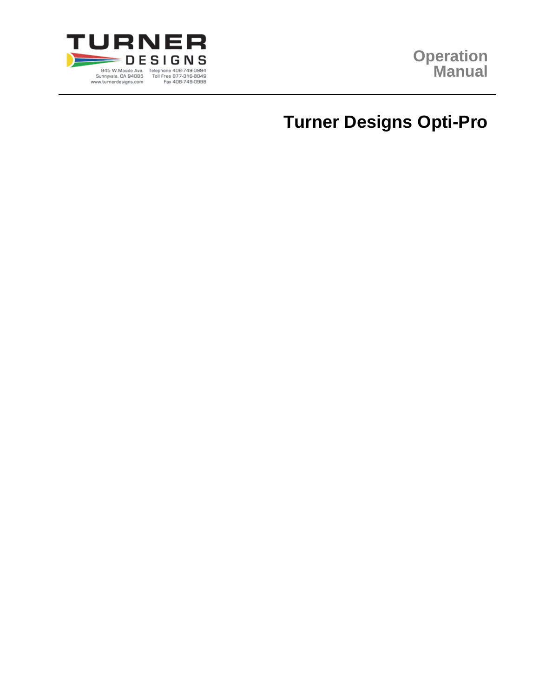

# **Turner Designs Opti-Pro**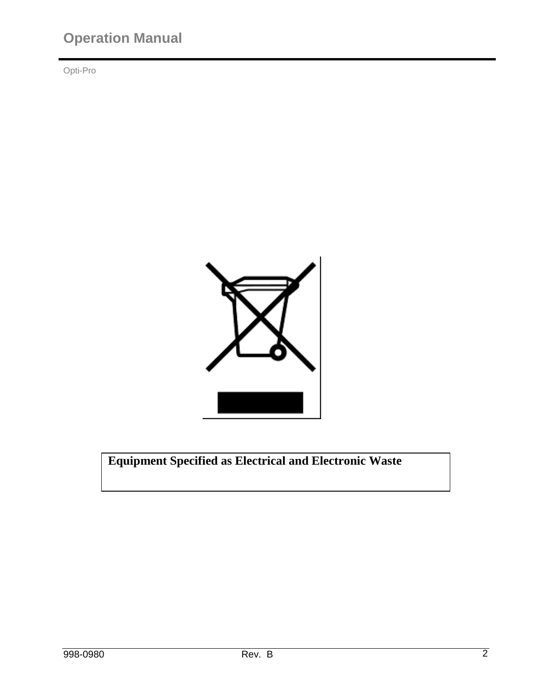Opti-Pro



**Equipment Specified as Electrical and Electronic Waste**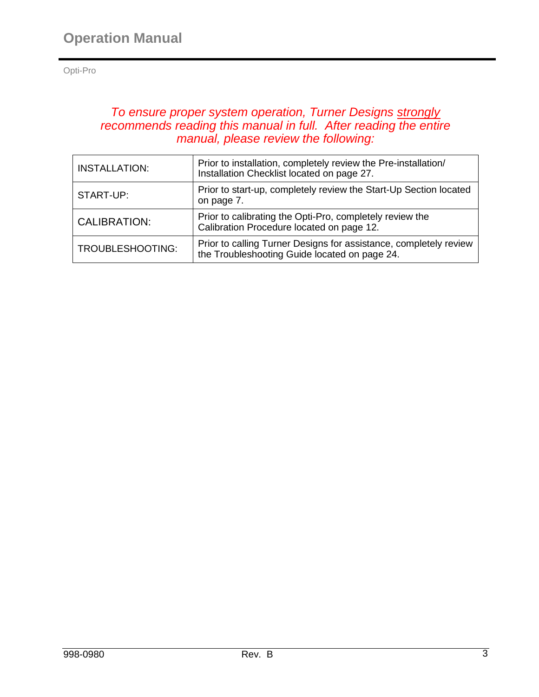# *To ensure proper system operation, Turner Designs strongly recommends reading this manual in full. After reading the entire manual, please review the following:*

| <b>INSTALLATION:</b>                                                                                                         | Prior to installation, completely review the Pre-installation/<br>Installation Checklist located on page 27.       |  |
|------------------------------------------------------------------------------------------------------------------------------|--------------------------------------------------------------------------------------------------------------------|--|
| START-UP:                                                                                                                    | Prior to start-up, completely review the Start-Up Section located<br>on page 7.                                    |  |
| Prior to calibrating the Opti-Pro, completely review the<br><b>CALIBRATION:</b><br>Calibration Procedure located on page 12. |                                                                                                                    |  |
| TROUBLESHOOTING:                                                                                                             | Prior to calling Turner Designs for assistance, completely review<br>the Troubleshooting Guide located on page 24. |  |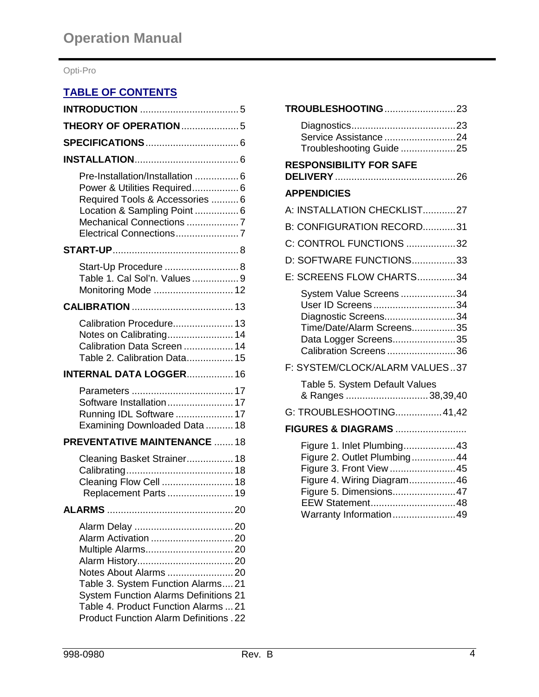# **TABLE OF CONTENTS**

| <b>THEORY OF OPERATION 5</b>                                                                                                                                                                                                 |  |
|------------------------------------------------------------------------------------------------------------------------------------------------------------------------------------------------------------------------------|--|
|                                                                                                                                                                                                                              |  |
|                                                                                                                                                                                                                              |  |
| Pre-Installation/Installation  6<br>Power & Utilities Required 6<br>Required Tools & Accessories  6<br>Location & Sampling Point  6<br>Mechanical Connections 7<br>Electrical Connections7                                   |  |
|                                                                                                                                                                                                                              |  |
| Start-Up Procedure  8<br>Table 1. Cal Sol'n. Values9<br>Monitoring Mode  12                                                                                                                                                  |  |
|                                                                                                                                                                                                                              |  |
| Calibration Procedure 13<br>Notes on Calibrating 14<br>Calibration Data Screen  14<br>Table 2. Calibration Data 15                                                                                                           |  |
| <b>INTERNAL DATA LOGGER 16</b>                                                                                                                                                                                               |  |
| Software Installation 17<br>Running IDL Software  17<br>Examining Downloaded Data  18                                                                                                                                        |  |
| <b>PREVENTATIVE MAINTENANCE  18</b>                                                                                                                                                                                          |  |
| Cleaning Basket Strainer 18<br>Cleaning Flow Cell  18<br>Replacement Parts  19                                                                                                                                               |  |
|                                                                                                                                                                                                                              |  |
| Alarm Activation  20<br>Notes About Alarms  20<br>Table 3. System Function Alarms21<br><b>System Function Alarms Definitions 21</b><br>Table 4. Product Function Alarms  21<br><b>Product Function Alarm Definitions. 22</b> |  |

| TROUBLESHOOTING23                                                                                                                                                                         |
|-------------------------------------------------------------------------------------------------------------------------------------------------------------------------------------------|
| Service Assistance 24<br>Troubleshooting Guide 25                                                                                                                                         |
| <b>RESPONSIBILITY FOR SAFE</b>                                                                                                                                                            |
| <b>APPENDICIES</b>                                                                                                                                                                        |
| A: INSTALLATION CHECKLIST27                                                                                                                                                               |
| B: CONFIGURATION RECORD31                                                                                                                                                                 |
| C: CONTROL FUNCTIONS 32                                                                                                                                                                   |
| D: SOFTWARE FUNCTIONS33                                                                                                                                                                   |
| E: SCREENS FLOW CHARTS34                                                                                                                                                                  |
| System Value Screens34<br>User ID Screens34<br>Diagnostic Screens34<br>Time/Date/Alarm Screens35<br>Data Logger Screens35<br>Calibration Screens36                                        |
| F: SYSTEM/CLOCK/ALARM VALUES37                                                                                                                                                            |
| Table 5. System Default Values<br>& Ranges 38,39,40                                                                                                                                       |
| G: TROUBLESHOOTING41,42                                                                                                                                                                   |
| <b>FIGURES &amp; DIAGRAMS </b>                                                                                                                                                            |
| Figure 1. Inlet Plumbing43<br>Figure 2. Outlet Plumbing44<br>Figure 3. Front View 45<br>Figure 4. Wiring Diagram46<br>Figure 5. Dimensions47<br>EEW Statement48<br>Warranty Information49 |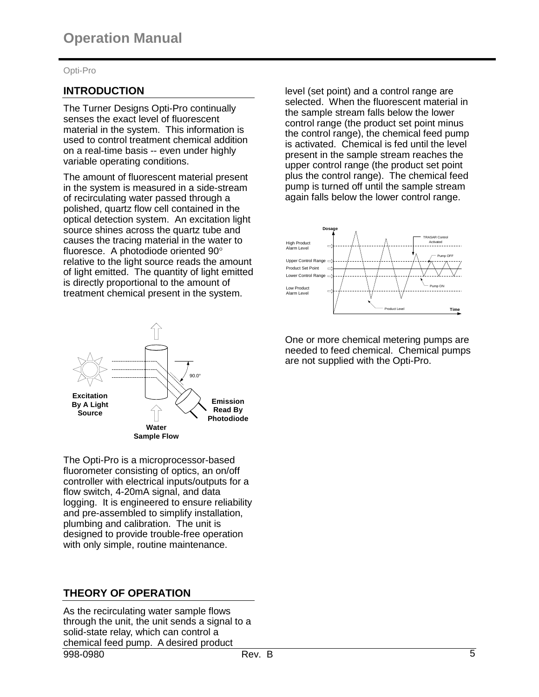# **INTRODUCTION**

The Turner Designs Opti-Pro continually senses the exact level of fluorescent material in the system. This information is used to control treatment chemical addition on a real-time basis -- even under highly variable operating conditions.

The amount of fluorescent material present in the system is measured in a side-stream of recirculating water passed through a polished, quartz flow cell contained in the optical detection system. An excitation light source shines across the quartz tube and causes the tracing material in the water to fluoresce. A photodiode oriented 90 relative to the light source reads the amount of light emitted. The quantity of light emitted is directly proportional to the amount of treatment chemical present in the system.



The Opti-Pro is a microprocessor-based fluorometer consisting of optics, an on/off controller with electrical inputs/outputs for a flow switch, 4-20mA signal, and data logging. It is engineered to ensure reliability and pre-assembled to simplify installation, plumbing and calibration. The unit is designed to provide trouble-free operation with only simple, routine maintenance.

# **THEORY OF OPERATION**

998-0980 Rev. B 5 As the recirculating water sample flows through the unit, the unit sends a signal to a solid-state relay, which can control a chemical feed pump. A desired product

level (set point) and a control range are selected. When the fluorescent material in the sample stream falls below the lower control range (the product set point minus the control range), the chemical feed pump is activated. Chemical is fed until the level present in the sample stream reaches the upper control range (the product set point plus the control range). The chemical feed pump is turned off until the sample stream again falls below the lower control range.



One or more chemical metering pumps are needed to feed chemical. Chemical pumps are not supplied with the Opti-Pro.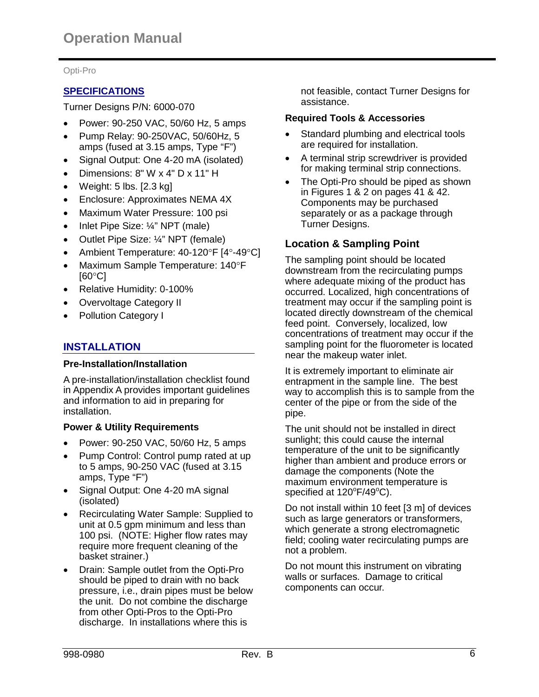# **SPECIFICATIONS**

Turner Designs P/N: 6000-070

- Power: 90-250 VAC, 50/60 Hz, 5 amps
- Pump Relay: 90-250VAC, 50/60Hz, 5 amps (fused at 3.15 amps, Type "F")
- Signal Output: One 4-20 mA (isolated)
- Dimensions: 8" W x 4" D x 11" H
- Weight: 5 lbs. [2.3 kg]
- Enclosure: Approximates NEMA 4X
- Maximum Water Pressure: 100 psi
- Inlet Pipe Size: ¼" NPT (male)
- Outlet Pipe Size: ¼" NPT (female)
- Ambient Temperature: 40-120°F [4°-49°C]
- Maximum Sample Temperature: 140°F  $[60^{\circ}C]$
- Relative Humidity: 0-100%
- Overvoltage Category II
- Pollution Category I

# **INSTALLATION**

#### **Pre-Installation/Installation**

A pre-installation/installation checklist found in Appendix A provides important guidelines and information to aid in preparing for installation.

# **Power & Utility Requirements**

- Power: 90-250 VAC, 50/60 Hz, 5 amps
- Pump Control: Control pump rated at up to 5 amps, 90-250 VAC (fused at 3.15 amps, Type "F")
- Signal Output: One 4-20 mA signal (isolated)
- Recirculating Water Sample: Supplied to unit at 0.5 gpm minimum and less than 100 psi. (NOTE: Higher flow rates may require more frequent cleaning of the basket strainer.)
- Drain: Sample outlet from the Opti-Pro should be piped to drain with no back pressure, i.e., drain pipes must be below the unit. Do not combine the discharge from other Opti-Pros to the Opti-Pro discharge. In installations where this is

not feasible, contact Turner Designs for assistance.

#### **Required Tools & Accessories**

- Standard plumbing and electrical tools are required for installation.
- A terminal strip screwdriver is provided for making terminal strip connections.
- The Opti-Pro should be piped as shown in Figures 1 & 2 on pages 41 & 42. Components may be purchased separately or as a package through Turner Designs.

# **Location & Sampling Point**

The sampling point should be located downstream from the recirculating pumps where adequate mixing of the product has occurred. Localized, high concentrations of treatment may occur if the sampling point is located directly downstream of the chemical feed point. Conversely, localized, low concentrations of treatment may occur if the sampling point for the fluorometer is located near the makeup water inlet.

It is extremely important to eliminate air entrapment in the sample line. The best way to accomplish this is to sample from the center of the pipe or from the side of the pipe.

The unit should not be installed in direct sunlight; this could cause the internal temperature of the unit to be significantly higher than ambient and produce errors or damage the components (Note the maximum environment temperature is specified at  $120^{\circ}$ F/49 $^{\circ}$ C).

Do not install within 10 feet [3 m] of devices such as large generators or transformers, which generate a strong electromagnetic field; cooling water recirculating pumps are not a problem.

Do not mount this instrument on vibrating walls or surfaces. Damage to critical components can occur.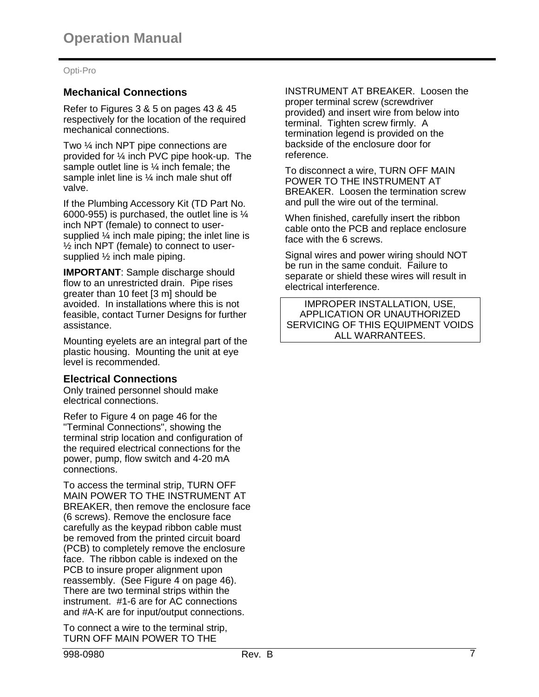# **Mechanical Connections**

Refer to Figures 3 & 5 on pages 43 & 45 respectively for the location of the required mechanical connections.

Two ¼ inch NPT pipe connections are provided for ¼ inch PVC pipe hook-up. The sample outlet line is ¼ inch female; the sample inlet line is  $\frac{1}{4}$  inch male shut off valve.

If the Plumbing Accessory Kit (TD Part No. 6000-955) is purchased, the outlet line is ¼ inch NPT (female) to connect to usersupplied ¼ inch male piping; the inlet line is ½ inch NPT (female) to connect to usersupplied ½ inch male piping.

**IMPORTANT:** Sample discharge should flow to an unrestricted drain. Pipe rises greater than 10 feet [3 m] should be avoided. In installations where this is not feasible, contact Turner Designs for further assistance.

Mounting eyelets are an integral part of the plastic housing. Mounting the unit at eye level is recommended.

# **Electrical Connections**

Only trained personnel should make electrical connections.

Refer to Figure 4 on page 46 for the "Terminal Connections", showing the terminal strip location and configuration of the required electrical connections for the power, pump, flow switch and 4-20 mA connections.

To access the terminal strip, TURN OFF MAIN POWER TO THE INSTRUMENT AT BREAKER, then remove the enclosure face (6 screws). Remove the enclosure face carefully as the keypad ribbon cable must be removed from the printed circuit board (PCB) to completely remove the enclosure face. The ribbon cable is indexed on the PCB to insure proper alignment upon reassembly. (See Figure 4 on page 46). There are two terminal strips within the instrument. #1-6 are for AC connections and #A-K are for input/output connections.

To connect a wire to the terminal strip, TURN OFF MAIN POWER TO THE

INSTRUMENT AT BREAKER. Loosen the proper terminal screw (screwdriver provided) and insert wire from below into terminal. Tighten screw firmly. A termination legend is provided on the backside of the enclosure door for reference.

To disconnect a wire, TURN OFF MAIN POWER TO THE INSTRUMENT AT BREAKER. Loosen the termination screw and pull the wire out of the terminal.

When finished, carefully insert the ribbon cable onto the PCB and replace enclosure face with the 6 screws.

Signal wires and power wiring should NOT be run in the same conduit. Failure to separate or shield these wires will result in electrical interference.

IMPROPER INSTALLATION, USE, APPLICATION OR UNAUTHORIZED SERVICING OF THIS EQUIPMENT VOIDS ALL WARRANTEES.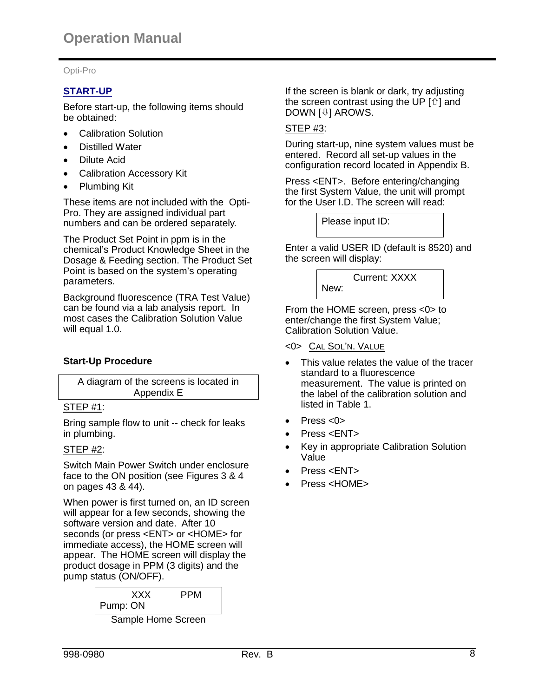# **START-UP**

Before start-up, the following items should be obtained:

- Calibration Solution
- Distilled Water
- Dilute Acid
- Calibration Accessory Kit
- Plumbing Kit

These items are not included with the Opti-Pro. They are assigned individual part numbers and can be ordered separately.

The Product Set Point in ppm is in the chemical's Product Knowledge Sheet in the Dosage & Feeding section. The Product Set Point is based on the system's operating parameters.

Background fluorescence (TRA Test Value) can be found via a lab analysis report. In most cases the Calibration Solution Value will equal 1.0.

# **Start-Up Procedure**

| A diagram of the screens is located in |  |
|----------------------------------------|--|
| Appendix E                             |  |

#### STEP #1:

Bring sample flow to unit -- check for leaks in plumbing.

#### STEP #2:

Switch Main Power Switch under enclosure face to the ON position (see Figures 3 & 4 on pages 43 & 44).

When power is first turned on, an ID screen will appear for a few seconds, showing the software version and date. After 10 seconds (or press <ENT> or <HOME> for immediate access), the HOME screen will appear. The HOME screen will display the product dosage in PPM (3 digits) and the pump status (ON/OFF).

| xxx<br>Pump: ON    | PPM |
|--------------------|-----|
| Sample Home Screen |     |

If the screen is blank or dark, try adjusting the screen contrast using the UP  $[\hat{u}]$  and DOWN  $[\sqrt[1]{v}]$  AROWS.

# STEP #3:

During start-up, nine system values must be entered. Record all set-up values in the configuration record located in Appendix B.

Press <ENT>. Before entering/changing the first System Value, the unit will prompt for the User I.D. The screen will read:

Please input ID:

Enter a valid USER ID (default is 8520) and the screen will display:



From the HOME screen, press <0> to enter/change the first System Value; Calibration Solution Value.

<0> CAL SOL'N. VALUE

- This value relates the value of the tracer standard to a fluorescence measurement. The value is printed on the label of the calibration solution and listed in Table 1.
- Press  $<0>$
- Press <ENT>
- Key in appropriate Calibration Solution Value
- Press <ENT>
- Press <HOME>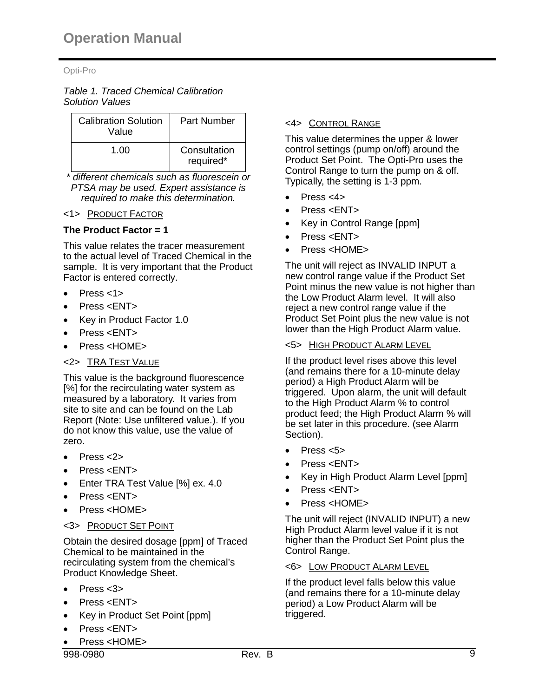*Table 1. Traced Chemical Calibration Solution Values*

| <b>Calibration Solution</b><br>Value | Part Number               |
|--------------------------------------|---------------------------|
| 1.00                                 | Consultation<br>required* |

*\* different chemicals such as fluorescein or PTSA may be used. Expert assistance is required to make this determination.*

# <1> PRODUCT FACTOR

# **The Product Factor = 1**

This value relates the tracer measurement to the actual level of Traced Chemical in the sample. It is very important that the Product Factor is entered correctly.

- Press <1>
- Press <ENT>
- Key in Product Factor 1.0
- Press <ENT>
- Press <HOME>

# <2> TRA TEST VALUE

This value is the background fluorescence [%] for the recirculating water system as measured by a laboratory. It varies from site to site and can be found on the Lab Report (Note: Use unfiltered value.). If you do not know this value, use the value of zero.

- $\bullet$  Press  $<$ 2>
- Press <ENT>
- Enter TRA Test Value [%] ex. 4.0
- Press <ENT>
- Press <HOME>

# <3> PRODUCT SET POINT

Obtain the desired dosage [ppm] of Traced Chemical to be maintained in the recirculating system from the chemical's Product Knowledge Sheet.

- $\bullet$  Press  $<3$
- Press <FNT>
- Key in Product Set Point [ppm]
- $\bullet$  Press  $\lt$ FNT $>$
- Press <HOME>

# <4> CONTROL RANGE

This value determines the upper & lower control settings (pump on/off) around the Product Set Point. The Opti-Pro uses the Control Range to turn the pump on & off. Typically, the setting is 1-3 ppm.

- $\bullet$  Press <4>
- Press <ENT>
- Key in Control Range [ppm]
- Press <ENT>
- Press <HOME>

The unit will reject as INVALID INPUT a new control range value if the Product Set Point minus the new value is not higher than the Low Product Alarm level. It will also reject a new control range value if the Product Set Point plus the new value is not lower than the High Product Alarm value.

# <5> HIGH PRODUCT ALARM LEVEL

If the product level rises above this level (and remains there for a 10-minute delay period) a High Product Alarm will be triggered. Upon alarm, the unit will default to the High Product Alarm % to control product feed; the High Product Alarm % will be set later in this procedure. (see Alarm Section).

- $\bullet$  Press  $<5$
- Press <ENT>
- Key in High Product Alarm Level [ppm]
- Press <ENT>
- Press <HOME>

The unit will reject (INVALID INPUT) a new High Product Alarm level value if it is not higher than the Product Set Point plus the Control Range.

#### <6> LOW PRODUCT ALARM LEVEL

If the product level falls below this value (and remains there for a 10-minute delay period) a Low Product Alarm will be triggered.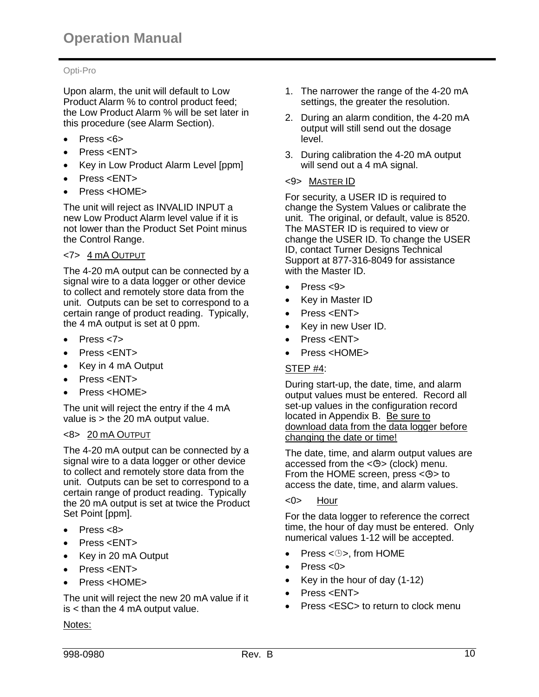Upon alarm, the unit will default to Low Product Alarm % to control product feed; the Low Product Alarm % will be set later in this procedure (see Alarm Section).

- $\bullet$  Press  $<6$
- Press <ENT>
- Key in Low Product Alarm Level [ppm]
- Press <ENT>
- Press <HOME>

The unit will reject as INVALID INPUT a new Low Product Alarm level value if it is not lower than the Product Set Point minus the Control Range.

#### <7> 4 mA OUTPUT

The 4-20 mA output can be connected by a signal wire to a data logger or other device to collect and remotely store data from the unit. Outputs can be set to correspond to a certain range of product reading. Typically, the 4 mA output is set at 0 ppm.

- $\bullet$  Press  $<7>$
- Press <ENT>
- Key in 4 mA Output
- Press <ENT>
- Press <HOME>

The unit will reject the entry if the 4 mA value is > the 20 mA output value.

#### <8> 20 mA OUTPUT

The 4-20 mA output can be connected by a signal wire to a data logger or other device to collect and remotely store data from the unit. Outputs can be set to correspond to a certain range of product reading. Typically the 20 mA output is set at twice the Product Set Point [ppm].

- Press <8>
- Press <ENT>
- Key in 20 mA Output
- Press <ENT>
- Press <HOME>

The unit will reject the new 20 mA value if it is < than the 4 mA output value.

#### Notes:

- 1. The narrower the range of the 4-20 mA settings, the greater the resolution.
- 2. During an alarm condition, the 4-20 mA output will still send out the dosage level.
- 3. During calibration the 4-20 mA output will send out a 4 mA signal.

#### <9> MASTER ID

For security, a USER ID is required to change the System Values or calibrate the unit. The original, or default, value is 8520. The MASTER ID is required to view or change the USER ID. To change the USER ID, contact Turner Designs Technical Support at 877-316-8049 for assistance with the Master ID.

- $\bullet$  Press <9>
- Key in Master ID
- Press <ENT>
- Key in new User ID.
- Press <ENT>
- Press <HOME>

# STEP #4:

During start-up, the date, time, and alarm output values must be entered. Record all set-up values in the configuration record located in Appendix B. Be sure to download data from the data logger before changing the date or time!

The date, time, and alarm output values are accessed from the  $\langle \Theta \rangle$  (clock) menu. From the HOME screen, press  $<\theta$  to access the date, time, and alarm values.

#### <0> Hour

For the data logger to reference the correct time, the hour of day must be entered. Only numerical values 1-12 will be accepted.

- Press  $\leq \oplus$ , from HOME
- Press <0>
- Key in the hour of day  $(1-12)$
- Press <ENT>
- Press <ESC> to return to clock menu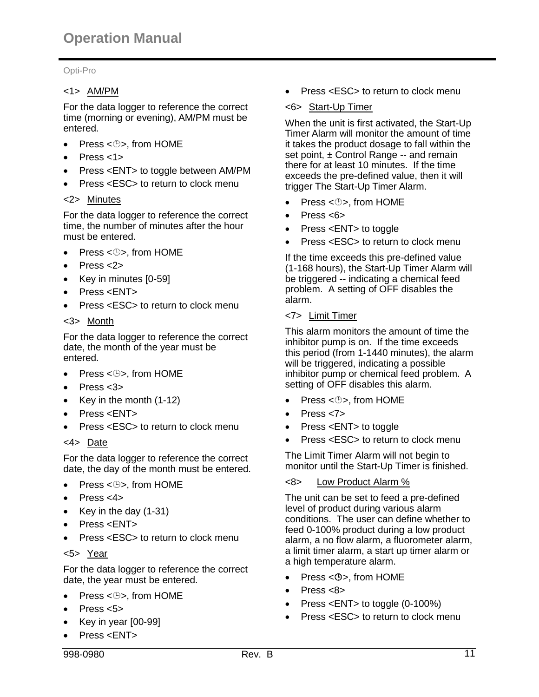# <1> AM/PM

For the data logger to reference the correct time (morning or evening), AM/PM must be entered.

- Press  $\leq \oplus$ , from HOME
- Press <1>
- Press <ENT> to toggle between AM/PM
- Press <ESC> to return to clock menu

# <2> Minutes

For the data logger to reference the correct time, the number of minutes after the hour must be entered.

- Press  $\leq \oplus$ , from HOME
- $\bullet$  Press <2>
- Key in minutes [0-59]
- Press <ENT>
- Press <ESC> to return to clock menu

# <3> Month

For the data logger to reference the correct date, the month of the year must be entered.

- Press < $\circledcirc$ >, from HOME
- $\bullet$  Press <3>
- Key in the month  $(1-12)$
- Press <ENT>
- Press <ESC> to return to clock menu

# <4> Date

For the data logger to reference the correct date, the day of the month must be entered.

- Press < $\circledcirc$ >, from HOME
- $\bullet$  Press <4>
- Key in the day (1-31)
- Press <ENT>
- Press <ESC> to return to clock menu

# <5> Year

For the data logger to reference the correct date, the year must be entered.

- Press < $\circledcirc$ >, from HOME
- $\bullet$  Press  $<5>$
- Key in year [00-99]
- Press <ENT>
- 998-0980 Rev. B 11

• Press <ESC> to return to clock menu

# <6> Start-Up Timer

When the unit is first activated, the Start-Up Timer Alarm will monitor the amount of time it takes the product dosage to fall within the set point,  $\pm$  Control Range -- and remain there for at least 10 minutes. If the time exceeds the pre-defined value, then it will trigger The Start-Up Timer Alarm.

- Press < $\circledcirc$ >, from HOME
- $\bullet$  Press  $<6$
- Press <ENT> to toggle
- Press <ESC> to return to clock menu

If the time exceeds this pre-defined value (1-168 hours), the Start-Up Timer Alarm will be triggered -- indicating a chemical feed problem. A setting of OFF disables the alarm.

# <7> Limit Timer

This alarm monitors the amount of time the inhibitor pump is on. If the time exceeds this period (from 1-1440 minutes), the alarm will be triggered, indicating a possible inhibitor pump or chemical feed problem. A setting of OFF disables this alarm.

- Press < $\circledcirc$ >, from HOME
- Press <7>
- Press <ENT> to toggle
- Press <ESC> to return to clock menu

The Limit Timer Alarm will not begin to monitor until the Start-Up Timer is finished.

# <8> Low Product Alarm %

The unit can be set to feed a pre-defined level of product during various alarm conditions. The user can define whether to feed 0-100% product during a low product alarm, a no flow alarm, a fluorometer alarm, a limit timer alarm, a start up timer alarm or a high temperature alarm.

- Press < $\Leftrightarrow$ , from HOME
- $\bullet$  Press <8>
- Press <ENT> to toggle (0-100%)
- Press <ESC> to return to clock menu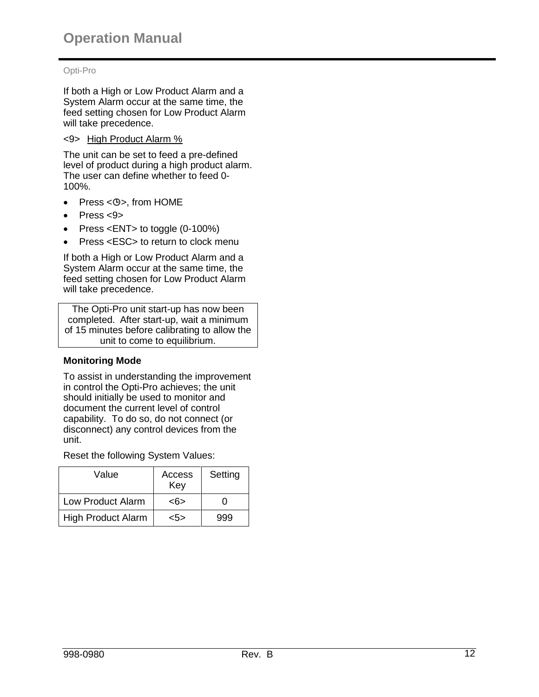If both a High or Low Product Alarm and a System Alarm occur at the same time, the feed setting chosen for Low Product Alarm will take precedence.

#### <9> High Product Alarm %

The unit can be set to feed a pre-defined level of product during a high product alarm. The user can define whether to feed 0- 100%.

- Press < $\mathfrak{S}$ >, from HOME
- $\bullet$  Press <9>
- Press <ENT> to toggle (0-100%)
- Press <ESC> to return to clock menu

If both a High or Low Product Alarm and a System Alarm occur at the same time, the feed setting chosen for Low Product Alarm will take precedence.

The Opti-Pro unit start-up has now been completed. After start-up, wait a minimum of 15 minutes before calibrating to allow the unit to come to equilibrium.

# **Monitoring Mode**

To assist in understanding the improvement in control the Opti-Pro achieves; the unit should initially be used to monitor and document the current level of control capability. To do so, do not connect (or disconnect) any control devices from the unit.

Reset the following System Values:

| Value                     | Access<br>Key | Setting |
|---------------------------|---------------|---------|
| Low Product Alarm         | <6>           |         |
| <b>High Product Alarm</b> | <5>           | 999     |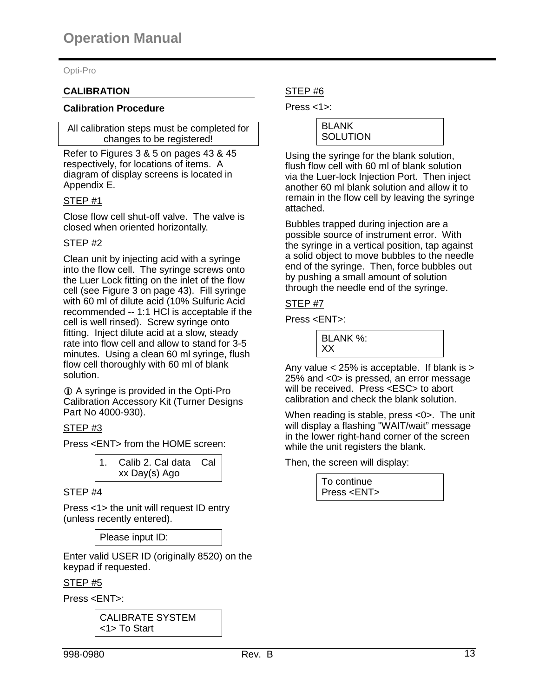# **CALIBRATION**

#### **Calibration Procedure**

All calibration steps must be completed for changes to be registered!

Refer to Figures 3 & 5 on pages 43 & 45 respectively, for locations of items. A diagram of display screens is located in Appendix E.

# STEP #1

Close flow cell shut-off valve. The valve is closed when oriented horizontally.

#### STEP #2

Clean unit by injecting acid with a syringe into the flow cell. The syringe screws onto the Luer Lock fitting on the inlet of the flow cell (see Figure 3 on page 43). Fill syringe with 60 ml of dilute acid (10% Sulfuric Acid recommended -- 1:1 HCl is acceptable if the cell is well rinsed). Screw syringe onto fitting. Inject dilute acid at a slow, steady rate into flow cell and allow to stand for 3-5 minutes. Using a clean 60 ml syringe, flush flow cell thoroughly with 60 ml of blank solution.

 A syringe is provided in the Opti-Pro Calibration Accessory Kit (Turner Designs Part No 4000-930).

# STEP #3

Press <ENT> from the HOME screen:

| Calib 2. Cal data Cal |  |
|-----------------------|--|
| xx Day(s) Ago         |  |

# STEP #4

Press <1> the unit will request ID entry (unless recently entered).

Please input ID:

Enter valid USER ID (originally 8520) on the keypad if requested.

# STEP #5

Press <ENT>:

CALIBRATE SYSTEM <1> To Start

# STEP #6

Press <1>:

| I BLANK    |  |
|------------|--|
|            |  |
|            |  |
| I SOLUTION |  |
|            |  |

Using the syringe for the blank solution, flush flow cell with 60 ml of blank solution via the Luer-lock Injection Port. Then inject another 60 ml blank solution and allow it to remain in the flow cell by leaving the syringe attached.

Bubbles trapped during injection are a possible source of instrument error. With the syringe in a vertical position, tap against a solid object to move bubbles to the needle end of the syringe. Then, force bubbles out by pushing a small amount of solution through the needle end of the syringe.

# STEP #7

Press <ENT>:



Any value  $<$  25% is acceptable. If blank is  $>$ 25% and <0> is pressed, an error message will be received. Press <ESC> to abort calibration and check the blank solution.

When reading is stable, press <0>. The unit will display a flashing "WAIT/wait" message in the lower right-hand corner of the screen while the unit registers the blank.

Then, the screen will display:

To continue Press <ENT>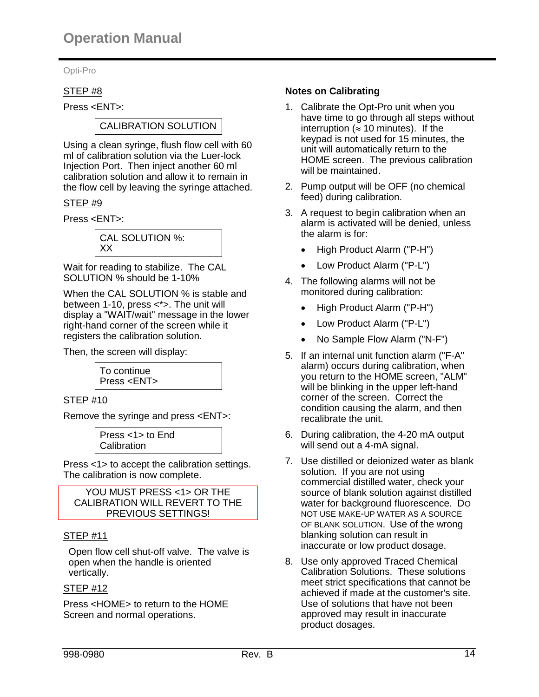# STEP #8

Press <ENT>:

# CALIBRATION SOLUTION

Using a clean syringe, flush flow cell with 60 ml of calibration solution via the Luer-lock Injection Port. Then inject another 60 ml calibration solution and allow it to remain in the flow cell by leaving the syringe attached.

# STEP #9

Press <ENT>:



Wait for reading to stabilize. The CAL SOLUTION % should be 1-10%

When the CAL SOLUTION % is stable and between 1-10, press <\*>. The unit will display a "WAIT/wait" message in the lower right-hand corner of the screen while it registers the calibration solution.

Then, the screen will display:



# STEP #10

Remove the syringe and press <ENT>:

Press <1> to End **Calibration** 

Press <1> to accept the calibration settings. The calibration is now complete.

| YOU MUST PRESS <1> OR THE      |
|--------------------------------|
| CALIBRATION WILL REVERT TO THE |
| PREVIOUS SETTINGS!             |

# STEP #11

Open flow cell shut-off valve. The valve is open when the handle is oriented vertically.

#### STEP #12

Press <HOME> to return to the HOME Screen and normal operations.

# **Notes on Calibrating**

- 1. Calibrate the Opt-Pro unit when you have time to go through all steps without interruption ( $\approx$  10 minutes). If the keypad is not used for 15 minutes, the unit will automatically return to the HOME screen. The previous calibration will be maintained.
- 2. Pump output will be OFF (no chemical feed) during calibration.
- 3. A request to begin calibration when an alarm is activated will be denied, unless the alarm is for:
	- High Product Alarm ("P-H")
	- Low Product Alarm ("P-L")
- 4. The following alarms will not be monitored during calibration:
	- High Product Alarm ("P-H")
	- Low Product Alarm ("P-L")
	- No Sample Flow Alarm ("N-F")
- 5. If an internal unit function alarm ("F-A" alarm) occurs during calibration, when you return to the HOME screen, "ALM" will be blinking in the upper left-hand corner of the screen. Correct the condition causing the alarm, and then recalibrate the unit.
- 6. During calibration, the 4-20 mA output will send out a 4-mA signal.
- 7. Use distilled or deionized water as blank solution. If you are not using commercial distilled water, check your source of blank solution against distilled water for background fluorescence. DO NOT USE MAKE-UP WATER AS A SOURCE OF BLANK SOLUTION. Use of the wrong blanking solution can result in inaccurate or low product dosage.
- 8. Use only approved Traced Chemical Calibration Solutions. These solutions meet strict specifications that cannot be achieved if made at the customer's site. Use of solutions that have not been approved may result in inaccurate product dosages.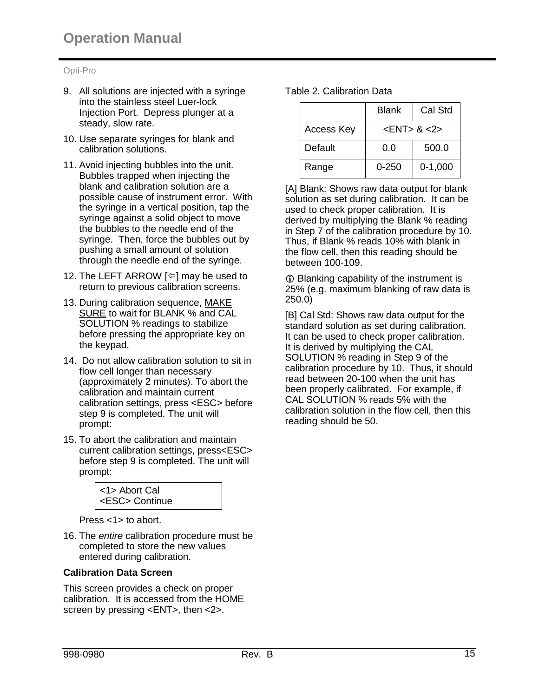- 9. All solutions are injected with a syringe into the stainless steel Luer-lock Injection Port. Depress plunger at a steady, slow rate.
- 10. Use separate syringes for blank and calibration solutions.
- 11. Avoid injecting bubbles into the unit. Bubbles trapped when injecting the blank and calibration solution are a possible cause of instrument error. With the syringe in a vertical position, tap the syringe against a solid object to move the bubbles to the needle end of the syringe. Then, force the bubbles out by pushing a small amount of solution through the needle end of the syringe.
- 12. The LEFT ARROW  $[\Leftrightarrow]$  may be used to return to previous calibration screens.
- 13. During calibration sequence, MAKE SURE to wait for BLANK % and CAL SOLUTION % readings to stabilize before pressing the appropriate key on the keypad.
- 14. Do not allow calibration solution to sit in flow cell longer than necessary (approximately 2 minutes). To abort the calibration and maintain current calibration settings, press <ESC> before step 9 is completed. The unit will prompt:
- 15. To abort the calibration and maintain current calibration settings, press<ESC> before step 9 is completed. The unit will prompt:



Press <1> to abort.

16. The *entire* calibration procedure must be completed to store the new values entered during calibration.

#### **Calibration Data Screen**

This screen provides a check on proper calibration. It is accessed from the HOME screen by pressing <ENT>, then <2>.

| Table 2. Calibration Data |  |
|---------------------------|--|
|---------------------------|--|

|                   | Blank                               | Cal Std   |
|-------------------|-------------------------------------|-----------|
| <b>Access Key</b> | $\epsilon$ ENT $> 8 \epsilon$ 2 $>$ |           |
| Default           | 0.0                                 | 500.0     |
| Range             | 0-250                               | $0-1,000$ |

[A] Blank: Shows raw data output for blank solution as set during calibration. It can be used to check proper calibration. It is derived by multiplying the Blank % reading in Step 7 of the calibration procedure by 10. Thus, if Blank % reads 10% with blank in the flow cell, then this reading should be between 100-109.

 Blanking capability of the instrument is 25% (e.g. maximum blanking of raw data is 250.0)

[B] Cal Std: Shows raw data output for the standard solution as set during calibration. It can be used to check proper calibration. It is derived by multiplying the CAL SOLUTION % reading in Step 9 of the calibration procedure by 10. Thus, it should read between 20-100 when the unit has been properly calibrated. For example, if CAL SOLUTION % reads 5% with the calibration solution in the flow cell, then this reading should be 50.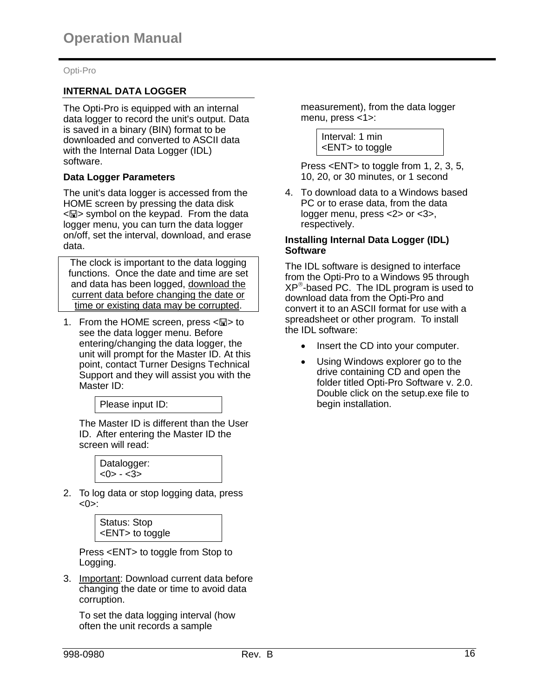# **INTERNAL DATA LOGGER**

The Opti-Pro is equipped with an internal data logger to record the unit's output. Data is saved in a binary (BIN) format to be downloaded and converted to ASCII data with the Internal Data Logger (IDL) software.

#### **Data Logger Parameters**

The unit's data logger is accessed from the HOME screen by pressing the data disk  $\leq$  symbol on the keypad. From the data logger menu, you can turn the data logger on/off, set the interval, download, and erase data.

The clock is important to the data logging functions. Once the date and time are set and data has been logged, download the current data before changing the date or time or existing data may be corrupted.

1. From the HOME screen, press  $\leq \mathbb{Z}$  to see the data logger menu. Before entering/changing the data logger, the unit will prompt for the Master ID. At this point, contact Turner Designs Technical Support and they will assist you with the Master ID:



The Master ID is different than the User ID. After entering the Master ID the screen will read:

> Datalogger:  $<0> - <3>$

2. To log data or stop logging data, press  $<0>$ :

| Status: Stop          |  |
|-----------------------|--|
| <ent> to toggle</ent> |  |

Press <ENT> to toggle from Stop to Logging.

3. Important: Download current data before changing the date or time to avoid data corruption.

To set the data logging interval (how often the unit records a sample

measurement), from the data logger menu, press <1>:

> Interval: 1 min <ENT> to toggle

Press <ENT> to toggle from 1, 2, 3, 5, 10, 20, or 30 minutes, or 1 second

4. To download data to a Windows based PC or to erase data, from the data logger menu, press <2> or <3>, respectively.

#### **Installing Internal Data Logger (IDL) Software**

The IDL software is designed to interface from the Opti-Pro to a Windows 95 through XP -based PC. The IDL program is used to download data from the Opti-Pro and convert it to an ASCII format for use with a spreadsheet or other program. To install the IDL software:

- Insert the CD into your computer.
- Using Windows explorer go to the drive containing CD and open the folder titled Opti-Pro Software v. 2.0. Double click on the setup.exe file to begin installation.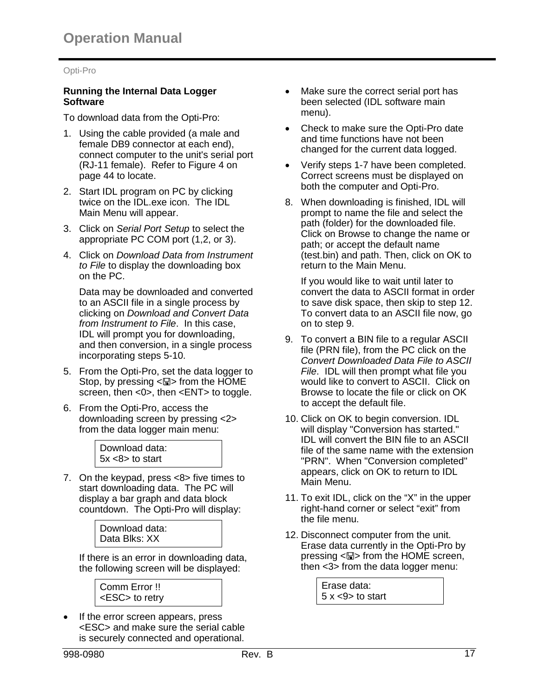#### **Running the Internal Data Logger Software**

To download data from the Opti-Pro:

- 1. Using the cable provided (a male and female DB9 connector at each end), connect computer to the unit's serial port (RJ-11 female). Refer to Figure 4 on page 44 to locate.
- 2. Start IDL program on PC by clicking twice on the IDL.exe icon. The IDL Main Menu will appear.
- 3. Click on *Serial Port Setup* to select the appropriate PC COM port (1,2, or 3).
- 4. Click on *Download Data from Instrument to File* to display the downloading box on the PC.

Data may be downloaded and converted to an ASCII file in a single process by clicking on *Download and Convert Data from Instrument to File*. In this case, IDL will prompt you for downloading, and then conversion, in a single process incorporating steps 5-10.

- 5. From the Opti-Pro, set the data logger to Stop, by pressing  $\leq \mathbb{Z}$  from the HOME screen, then <0>, then <ENT> to toggle.
- 6. From the Opti-Pro, access the downloading screen by pressing <2> from the data logger main menu:



7. On the keypad, press <8> five times to start downloading data. The PC will display a bar graph and data block countdown. The Opti-Pro will display:

> Download data: Data Blks: XX

If there is an error in downloading data, the following screen will be displayed:

Comm Error !! <ESC> to retry

 If the error screen appears, press <ESC> and make sure the serial cable is securely connected and operational.

- Make sure the correct serial port has been selected (IDL software main menu).
- Check to make sure the Opti-Pro date and time functions have not been changed for the current data logged.
- Verify steps 1-7 have been completed. Correct screens must be displayed on both the computer and Opti-Pro.
- 8. When downloading is finished, IDL will prompt to name the file and select the path (folder) for the downloaded file. Click on Browse to change the name or path; or accept the default name (test.bin) and path. Then, click on OK to return to the Main Menu.

If you would like to wait until later to convert the data to ASCII format in order to save disk space, then skip to step 12. To convert data to an ASCII file now, go on to step 9.

- 9. To convert a BIN file to a regular ASCII file (PRN file), from the PC click on the *Convert Downloaded Data File to ASCII File*. IDL will then prompt what file you would like to convert to ASCII. Click on Browse to locate the file or click on OK to accept the default file.
- 10. Click on OK to begin conversion. IDL will display "Conversion has started." IDL will convert the BIN file to an ASCII file of the same name with the extension "PRN". When "Conversion completed" appears, click on OK to return to IDL Main Menu.
- 11. To exit IDL, click on the "X" in the upper right-hand corner or select "exit" from the file menu.
- 12. Disconnect computer from the unit. Erase data currently in the Opti-Pro by pressing  $\leq \mathbb{Z}$  from the HOME screen, then <3> from the data logger menu:

Erase data: 5 x <9> to start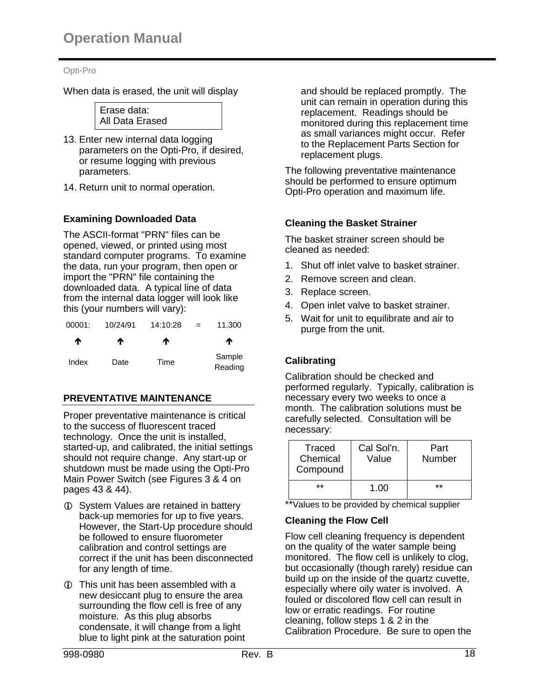When data is erased, the unit will display



- 13. Enter new internal data logging parameters on the Opti-Pro, if desired, or resume logging with previous parameters.
- 14. Return unit to normal operation.

# **Examining Downloaded Data**

The ASCII-format "PRN" files can be opened, viewed, or printed using most standard computer programs. To examine the data, run your program, then open or import the "PRN" file containing the downloaded data. A typical line of data from the internal data logger will look like this (your numbers will vary):

| 00001: | 10/24/91 | 14:10:28 | $=$ | 11.300            |
|--------|----------|----------|-----|-------------------|
| Ϋ      | Ϋ        | ́Ѧ       |     | ₼                 |
| Index  | Date     | Time     |     | Sample<br>Reading |

# **PREVENTATIVE MAINTENANCE**

Proper preventative maintenance is critical to the success of fluorescent traced technology. Once the unit is installed, started-up, and calibrated, the initial settings should not require change. Any start-up or shutdown must be made using the Opti-Pro Main Power Switch (see Figures 3 & 4 on pages 43 & 44).

- **C** System Values are retained in battery back-up memories for up to five years. However, the Start-Up procedure should be followed to ensure fluorometer calibration and control settings are correct if the unit has been disconnected for any length of time.
- This unit has been assembled with a new desiccant plug to ensure the area surrounding the flow cell is free of any moisture. As this plug absorbs condensate, it will change from a light blue to light pink at the saturation point

and should be replaced promptly. The unit can remain in operation during this replacement. Readings should be monitored during this replacement time as small variances might occur. Refer to the Replacement Parts Section for replacement plugs.

The following preventative maintenance should be performed to ensure optimum Opti-Pro operation and maximum life.

# **Cleaning the Basket Strainer**

The basket strainer screen should be cleaned as needed:

- 1. Shut off inlet valve to basket strainer.
- 2. Remove screen and clean.
- 3. Replace screen.
- 4. Open inlet valve to basket strainer.
- 5. Wait for unit to equilibrate and air to purge from the unit.

# **Calibrating**

Calibration should be checked and performed regularly. Typically, calibration is necessary every two weeks to once a month. The calibration solutions must be carefully selected. Consultation will be necessary:

| Traced<br>Chemical<br>Compound | Cal Sol'n.<br>Value | Part<br>Number |
|--------------------------------|---------------------|----------------|
| $**$                           | 1.00                | $**$           |

\*\*Values to be provided by chemical supplier

# **Cleaning the Flow Cell**

Flow cell cleaning frequency is dependent on the quality of the water sample being monitored. The flow cell is unlikely to clog, but occasionally (though rarely) residue can build up on the inside of the quartz cuvette. especially where oily water is involved. A fouled or discolored flow cell can result in low or erratic readings. For routine cleaning, follow steps 1 & 2 in the Calibration Procedure. Be sure to open the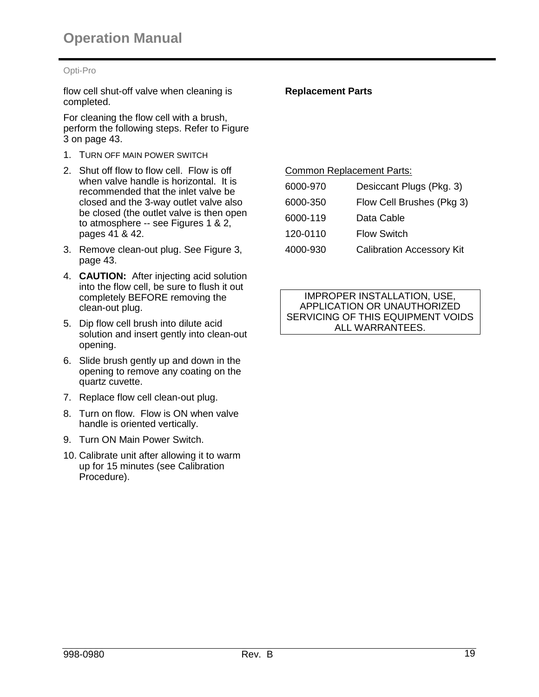flow cell shut-off valve when cleaning is completed.

For cleaning the flow cell with a brush, perform the following steps. Refer to Figure 3 on page 43.

- 1. TURN OFF MAIN POWER SWITCH
- 2. Shut off flow to flow cell. Flow is off when valve handle is horizontal. It is recommended that the inlet valve be closed and the 3-way outlet valve also be closed (the outlet valve is then open to atmosphere -- see Figures 1 & 2, pages 41 & 42.
- 3. Remove clean-out plug. See Figure 3, page 43.
- 4. **CAUTION:** After injecting acid solution into the flow cell, be sure to flush it out completely BEFORE removing the clean-out plug.
- 5. Dip flow cell brush into dilute acid solution and insert gently into clean-out opening.
- 6. Slide brush gently up and down in the opening to remove any coating on the quartz cuvette.
- 7. Replace flow cell clean-out plug.
- 8. Turn on flow. Flow is ON when valve handle is oriented vertically.
- 9. Turn ON Main Power Switch.
- 10. Calibrate unit after allowing it to warm up for 15 minutes (see Calibration Procedure).

#### **Replacement Parts**

Common Replacement Parts:

| 6000-970 | Desiccant Plugs (Pkg. 3)         |
|----------|----------------------------------|
| 6000-350 | Flow Cell Brushes (Pkg 3)        |
| 6000-119 | Data Cable                       |
| 120-0110 | <b>Flow Switch</b>               |
| 4000-930 | <b>Calibration Accessory Kit</b> |

#### IMPROPER INSTALLATION, USE, APPLICATION OR UNAUTHORIZED SERVICING OF THIS EQUIPMENT VOIDS ALL WARRANTEES.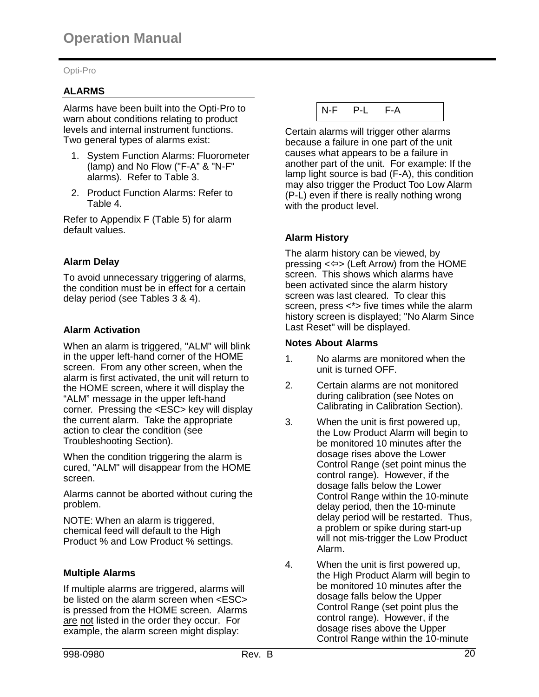# **ALARMS**

Alarms have been built into the Opti-Pro to warn about conditions relating to product levels and internal instrument functions. Two general types of alarms exist:

- 1. System Function Alarms: Fluorometer (lamp) and No Flow ("F-A" & "N-F" alarms). Refer to Table 3.
- 2. Product Function Alarms: Refer to Table 4.

Refer to Appendix F (Table 5) for alarm default values.

# **Alarm Delay**

To avoid unnecessary triggering of alarms, the condition must be in effect for a certain delay period (see Tables 3 & 4).

# **Alarm Activation**

When an alarm is triggered, "ALM" will blink in the upper left-hand corner of the HOME screen. From any other screen, when the alarm is first activated, the unit will return to the HOME screen, where it will display the "ALM" message in the upper left-hand corner. Pressing the <ESC> key will display the current alarm. Take the appropriate action to clear the condition (see Troubleshooting Section).

When the condition triggering the alarm is cured, "ALM" will disappear from the HOME screen.

Alarms cannot be aborted without curing the problem.

NOTE: When an alarm is triggered, chemical feed will default to the High Product % and Low Product % settings.

# **Multiple Alarms**

If multiple alarms are triggered, alarms will be listed on the alarm screen when <ESC> is pressed from the HOME screen. Alarms are not listed in the order they occur. For example, the alarm screen might display:

| N-F |  |  |
|-----|--|--|
|     |  |  |

Certain alarms will trigger other alarms because a failure in one part of the unit causes what appears to be a failure in another part of the unit. For example: If the lamp light source is bad (F-A), this condition may also trigger the Product Too Low Alarm (P-L) even if there is really nothing wrong with the product level.

# **Alarm History**

The alarm history can be viewed, by pressing  $\leq$  > (Left Arrow) from the HOME screen. This shows which alarms have been activated since the alarm history screen was last cleared. To clear this screen, press <\*> five times while the alarm history screen is displayed; "No Alarm Since Last Reset" will be displayed.

#### **Notes About Alarms**

- 1. No alarms are monitored when the unit is turned OFF.
- 2. Certain alarms are not monitored during calibration (see Notes on Calibrating in Calibration Section).
- 3. When the unit is first powered up, the Low Product Alarm will begin to be monitored 10 minutes after the dosage rises above the Lower Control Range (set point minus the control range). However, if the dosage falls below the Lower Control Range within the 10-minute delay period, then the 10-minute delay period will be restarted. Thus, a problem or spike during start-up will not mis-trigger the Low Product Alarm.
- 4. When the unit is first powered up, the High Product Alarm will begin to be monitored 10 minutes after the dosage falls below the Upper Control Range (set point plus the control range). However, if the dosage rises above the Upper Control Range within the 10-minute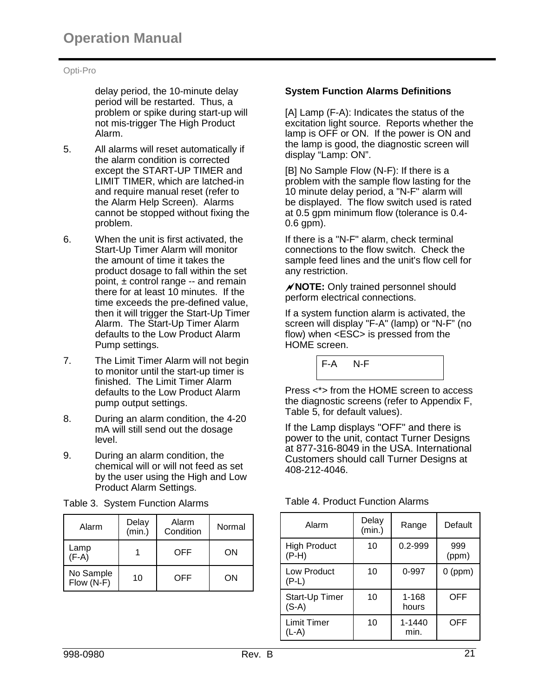delay period, the 10-minute delay period will be restarted. Thus, a problem or spike during start-up will not mis-trigger The High Product Alarm.

- 5. All alarms will reset automatically if the alarm condition is corrected except the START-UP TIMER and LIMIT TIMER, which are latched-in and require manual reset (refer to the Alarm Help Screen). Alarms cannot be stopped without fixing the problem.
- 6. When the unit is first activated, the Start-Up Timer Alarm will monitor the amount of time it takes the product dosage to fall within the set point,  $\pm$  control range -- and remain there for at least 10 minutes. If the time exceeds the pre-defined value, then it will trigger the Start-Up Timer Alarm. The Start-Up Timer Alarm defaults to the Low Product Alarm Pump settings.
- 7. The Limit Timer Alarm will not begin to monitor until the start-up timer is finished. The Limit Timer Alarm defaults to the Low Product Alarm pump output settings.
- 8. During an alarm condition, the 4-20 mA will still send out the dosage level.
- 9. During an alarm condition, the chemical will or will not feed as set by the user using the High and Low Product Alarm Settings.

| Alarm                   | Delay<br>(min.) | Alarm<br>Condition | Normal |
|-------------------------|-----------------|--------------------|--------|
| Lamp<br>$(F-A)$         |                 | OFF                | OΝ     |
| No Sample<br>Flow (N-F) | 10              | OFF                | ΟN     |

Table 3. System Function Alarms

# **System Function Alarms Definitions**

[A] Lamp (F-A): Indicates the status of the excitation light source. Reports whether the lamp is OFF or ON. If the power is ON and the lamp is good, the diagnostic screen will display "Lamp: ON".

[B] No Sample Flow (N-F): If there is a problem with the sample flow lasting for the 10 minute delay period, a "N-F" alarm will be displayed. The flow switch used is rated at 0.5 gpm minimum flow (tolerance is 0.4- 0.6 gpm).

If there is a "N-F" alarm, check terminal connections to the flow switch. Check the sample feed lines and the unit's flow cell for any restriction.

**NOTE:** Only trained personnel should perform electrical connections.

If a system function alarm is activated, the screen will display "F-A" (lamp) or "N-F" (no flow) when <ESC> is pressed from the HOME screen.

F-A N-F Press <\*> from the HOME screen to access the diagnostic screens (refer to Appendix F,

If the Lamp displays "OFF" and there is power to the unit, contact Turner Designs at 877-316-8049 in the USA. International Customers should call Turner Designs at 408-212-4046.

| Alarm                          | Delay<br>(min.) | Range          | Default      |
|--------------------------------|-----------------|----------------|--------------|
| <b>High Product</b><br>$(P-H)$ | 10              | 0.2-999        | 999<br>(ppm) |
| Low Product<br>$(P-L)$         | 10              | 0-997          | $0$ (ppm)    |
| Start-Up Timer<br>$(S-A)$      | 10              | 1-168<br>hours | OFF          |
| Limit Timer<br>(L-A)           | 10              | 1-1440<br>min. | OFF          |

#### Table 4. Product Function Alarms

Table 5, for default values).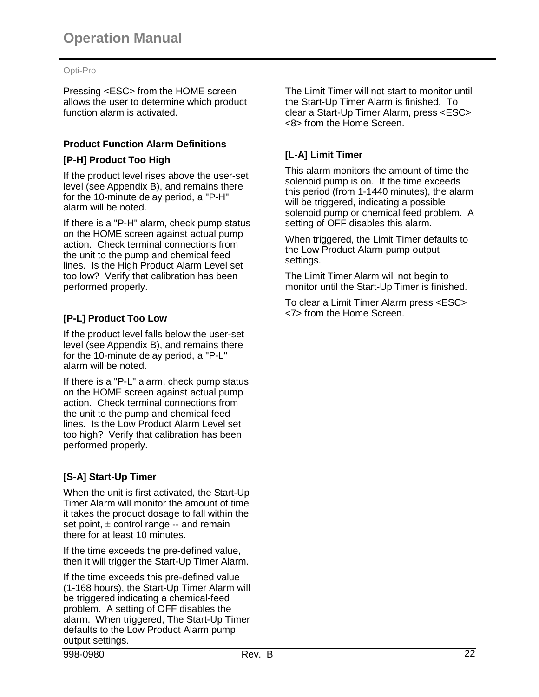Pressing <ESC> from the HOME screen allows the user to determine which product function alarm is activated.

# **Product Function Alarm Definitions**

# **[P-H] Product Too High**

If the product level rises above the user-set level (see Appendix B), and remains there for the 10-minute delay period, a "P-H" alarm will be noted.

If there is a "P-H" alarm, check pump status on the HOME screen against actual pump action. Check terminal connections from the unit to the pump and chemical feed lines. Is the High Product Alarm Level set too low? Verify that calibration has been performed properly.

# **[P-L] Product Too Low**

If the product level falls below the user-set level (see Appendix B), and remains there for the 10-minute delay period, a "P-L" alarm will be noted.

If there is a "P-L" alarm, check pump status on the HOME screen against actual pump action. Check terminal connections from the unit to the pump and chemical feed lines. Is the Low Product Alarm Level set too high? Verify that calibration has been performed properly.

# **[S-A] Start-Up Timer**

When the unit is first activated, the Start-Up Timer Alarm will monitor the amount of time it takes the product dosage to fall within the set point, ± control range -- and remain there for at least 10 minutes.

If the time exceeds the pre-defined value, then it will trigger the Start-Up Timer Alarm.

If the time exceeds this pre-defined value (1-168 hours), the Start-Up Timer Alarm will be triggered indicating a chemical-feed problem. A setting of OFF disables the alarm. When triggered, The Start-Up Timer defaults to the Low Product Alarm pump output settings.

The Limit Timer will not start to monitor until the Start-Up Timer Alarm is finished. To clear a Start-Up Timer Alarm, press <ESC> <8> from the Home Screen.

# **[L-A] Limit Timer**

This alarm monitors the amount of time the solenoid pump is on. If the time exceeds this period (from 1-1440 minutes), the alarm will be triggered, indicating a possible solenoid pump or chemical feed problem. A setting of OFF disables this alarm.

When triggered, the Limit Timer defaults to the Low Product Alarm pump output settings.

The Limit Timer Alarm will not begin to monitor until the Start-Up Timer is finished.

To clear a Limit Timer Alarm press <ESC> <7> from the Home Screen.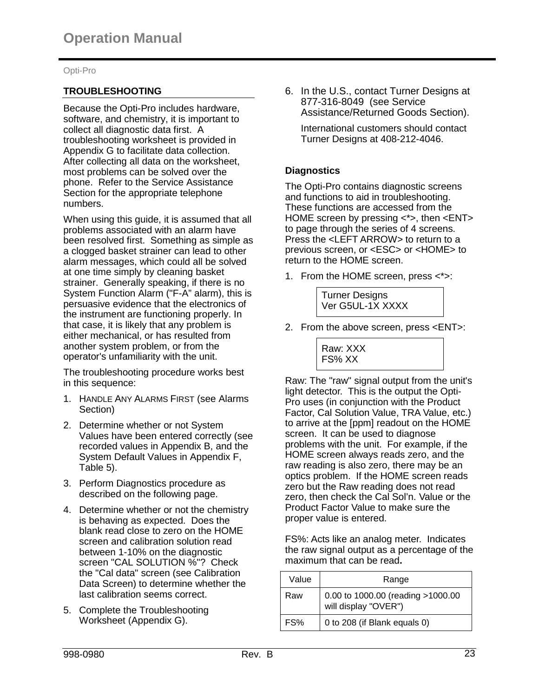# **TROUBLESHOOTING**

Because the Opti-Pro includes hardware, software, and chemistry, it is important to collect all diagnostic data first. A troubleshooting worksheet is provided in Appendix G to facilitate data collection. After collecting all data on the worksheet, most problems can be solved over the phone. Refer to the Service Assistance Section for the appropriate telephone numbers.

When using this guide, it is assumed that all problems associated with an alarm have been resolved first. Something as simple as a clogged basket strainer can lead to other alarm messages, which could all be solved at one time simply by cleaning basket strainer. Generally speaking, if there is no System Function Alarm ("F-A" alarm), this is persuasive evidence that the electronics of the instrument are functioning properly. In that case, it is likely that any problem is either mechanical, or has resulted from another system problem, or from the operator's unfamiliarity with the unit.

The troubleshooting procedure works best in this sequence:

- 1. HANDLE ANY ALARMS FIRST (see Alarms Section)
- 2. Determine whether or not System Values have been entered correctly (see recorded values in Appendix B, and the System Default Values in Appendix F, Table 5).
- 3. Perform Diagnostics procedure as described on the following page.
- 4. Determine whether or not the chemistry is behaving as expected. Does the blank read close to zero on the HOME screen and calibration solution read between 1-10% on the diagnostic screen "CAL SOLUTION %"? Check the "Cal data" screen (see Calibration Data Screen) to determine whether the last calibration seems correct.
- 5. Complete the Troubleshooting Worksheet (Appendix G).

6. In the U.S., contact Turner Designs at 877-316-8049 (see Service Assistance/Returned Goods Section).

International customers should contact Turner Designs at 408-212-4046.

# **Diagnostics**

The Opti-Pro contains diagnostic screens and functions to aid in troubleshooting. These functions are accessed from the HOME screen by pressing <\*>, then <ENT> to page through the series of 4 screens. Press the <LEFT ARROW> to return to a previous screen, or <ESC> or <HOME> to return to the HOME screen.

1. From the HOME screen, press <\*>:



2. From the above screen, press <ENT>:

Raw: XXX FS% XX

Raw: The "raw" signal output from the unit's light detector. This is the output the Opti-Pro uses (in conjunction with the Product Factor, Cal Solution Value, TRA Value, etc.) to arrive at the [ppm] readout on the HOME screen. It can be used to diagnose problems with the unit. For example, if the HOME screen always reads zero, and the raw reading is also zero, there may be an optics problem. If the HOME screen reads zero but the Raw reading does not read zero, then check the Cal Sol'n. Value or the Product Factor Value to make sure the proper value is entered.

FS%: Acts like an analog meter. Indicates the raw signal output as a percentage of the maximum that can be read**.**

| Value | Range                                                     |
|-------|-----------------------------------------------------------|
| Raw   | 0.00 to 1000.00 (reading >1000.00<br>will display "OVER") |
| FS%   | 0 to 208 (if Blank equals 0)                              |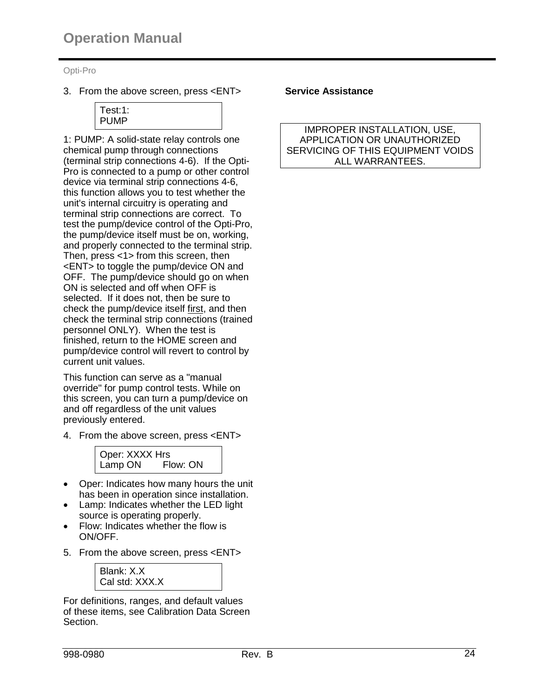3. From the above screen, press <ENT>



1: PUMP: A solid-state relay controls one chemical pump through connections (terminal strip connections 4-6). If the Opti-Pro is connected to a pump or other control device via terminal strip connections 4-6, this function allows you to test whether the unit's internal circuitry is operating and terminal strip connections are correct. To test the pump/device control of the Opti-Pro, the pump/device itself must be on, working, and properly connected to the terminal strip. Then, press <1> from this screen, then <ENT> to toggle the pump/device ON and OFF. The pump/device should go on when ON is selected and off when OFF is selected. If it does not, then be sure to check the pump/device itself first, and then check the terminal strip connections (trained personnel ONLY). When the test is finished, return to the HOME screen and pump/device control will revert to control by current unit values.

This function can serve as a "manual override" for pump control tests. While on this screen, you can turn a pump/device on and off regardless of the unit values previously entered.

4. From the above screen, press <ENT>



- Oper: Indicates how many hours the unit has been in operation since installation.
- Lamp: Indicates whether the LED light source is operating properly.
- Flow: Indicates whether the flow is ON/OFF.
- 5. From the above screen, press <ENT>



For definitions, ranges, and default values of these items, see Calibration Data Screen Section.

#### **Service Assistance**

IMPROPER INSTALLATION, USE, APPLICATION OR UNAUTHORIZED SERVICING OF THIS EQUIPMENT VOIDS ALL WARRANTEES.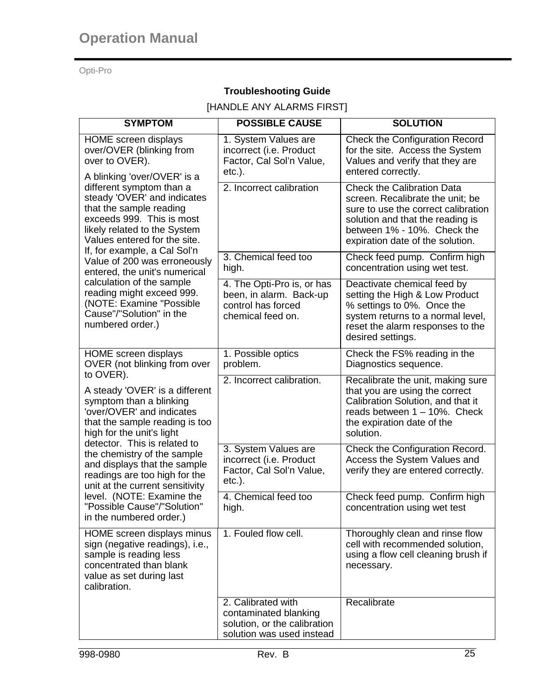# **Troubleshooting Guide**

# [HANDLE ANY ALARMS FIRST]

| <b>SYMPTOM</b>                                                                                                                                                                                                                                                                                                                                                                                                               | <b>POSSIBLE CAUSE</b>                                                                                    | <b>SOLUTION</b>                                                                                                                                                                                                     |
|------------------------------------------------------------------------------------------------------------------------------------------------------------------------------------------------------------------------------------------------------------------------------------------------------------------------------------------------------------------------------------------------------------------------------|----------------------------------------------------------------------------------------------------------|---------------------------------------------------------------------------------------------------------------------------------------------------------------------------------------------------------------------|
| <b>HOME</b> screen displays<br>over/OVER (blinking from<br>over to OVER).                                                                                                                                                                                                                                                                                                                                                    | 1. System Values are<br>incorrect (i.e. Product<br>Factor, Cal Sol'n Value,<br>$etc.$ ).                 | <b>Check the Configuration Record</b><br>for the site. Access the System<br>Values and verify that they are<br>entered correctly.                                                                                   |
| A blinking 'over/OVER' is a<br>different symptom than a<br>steady 'OVER' and indicates<br>that the sample reading<br>exceeds 999. This is most<br>likely related to the System<br>Values entered for the site.                                                                                                                                                                                                               | 2. Incorrect calibration                                                                                 | <b>Check the Calibration Data</b><br>screen. Recalibrate the unit; be<br>sure to use the correct calibration<br>solution and that the reading is<br>between 1% - 10%. Check the<br>expiration date of the solution. |
| If, for example, a Cal Sol'n<br>Value of 200 was erroneously<br>entered, the unit's numerical                                                                                                                                                                                                                                                                                                                                | 3. Chemical feed too<br>high.                                                                            | Check feed pump. Confirm high<br>concentration using wet test.                                                                                                                                                      |
| calculation of the sample<br>reading might exceed 999.<br>(NOTE: Examine "Possible<br>Cause"/"Solution" in the<br>numbered order.)                                                                                                                                                                                                                                                                                           | 4. The Opti-Pro is, or has<br>been, in alarm. Back-up<br>control has forced<br>chemical feed on.         | Deactivate chemical feed by<br>setting the High & Low Product<br>% settings to 0%. Once the<br>system returns to a normal level,<br>reset the alarm responses to the<br>desired settings.                           |
| <b>HOME</b> screen displays<br>OVER (not blinking from over                                                                                                                                                                                                                                                                                                                                                                  | 1. Possible optics<br>problem.                                                                           | Check the FS% reading in the<br>Diagnostics sequence.                                                                                                                                                               |
| to OVER).<br>A steady 'OVER' is a different<br>symptom than a blinking<br>'over/OVER' and indicates<br>that the sample reading is too<br>high for the unit's light<br>detector. This is related to<br>the chemistry of the sample<br>and displays that the sample<br>readings are too high for the<br>unit at the current sensitivity<br>level. (NOTE: Examine the<br>"Possible Cause"/"Solution"<br>in the numbered order.) | 2. Incorrect calibration.                                                                                | Recalibrate the unit, making sure<br>that you are using the correct<br>Calibration Solution, and that it<br>reads between 1 - 10%. Check<br>the expiration date of the<br>solution.                                 |
|                                                                                                                                                                                                                                                                                                                                                                                                                              | 3. System Values are<br>incorrect (i.e. Product<br>Factor, Cal Sol'n Value,<br>$etc.$ ).                 | Check the Configuration Record.<br>Access the System Values and<br>verify they are entered correctly.                                                                                                               |
|                                                                                                                                                                                                                                                                                                                                                                                                                              | 4. Chemical feed too<br>high.                                                                            | Check feed pump. Confirm high<br>concentration using wet test                                                                                                                                                       |
| HOME screen displays minus<br>sign (negative readings), i.e.,<br>sample is reading less<br>concentrated than blank<br>value as set during last<br>calibration.                                                                                                                                                                                                                                                               | 1. Fouled flow cell.                                                                                     | Thoroughly clean and rinse flow<br>cell with recommended solution,<br>using a flow cell cleaning brush if<br>necessary.                                                                                             |
|                                                                                                                                                                                                                                                                                                                                                                                                                              | 2. Calibrated with<br>contaminated blanking<br>solution, or the calibration<br>solution was used instead | Recalibrate                                                                                                                                                                                                         |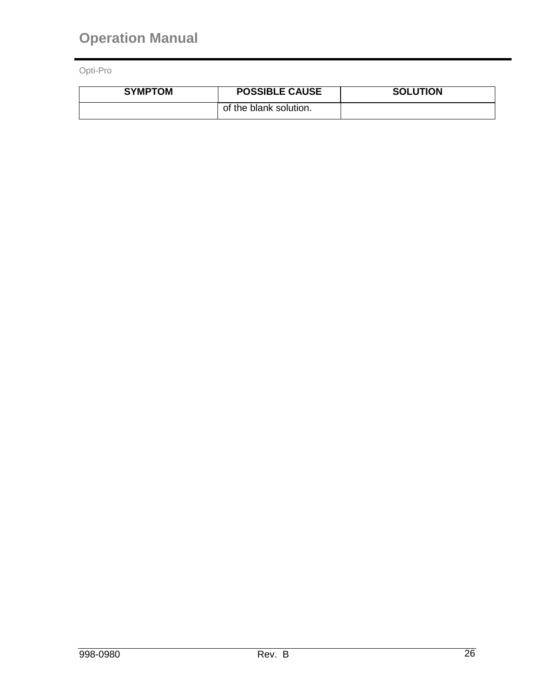| <b>SYMPTOM</b> | <b>POSSIBLE CAUSE</b>  | <b>SOLUTION</b> |
|----------------|------------------------|-----------------|
|                | of the blank solution. |                 |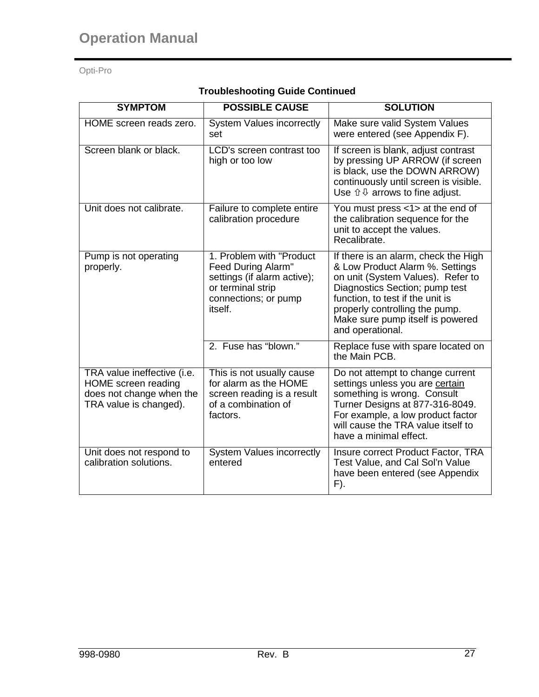| <b>SYMPTOM</b>                                                                                           | <b>POSSIBLE CAUSE</b>                                                                                                                  | <b>SOLUTION</b>                                                                                                                                                                                                                                                              |
|----------------------------------------------------------------------------------------------------------|----------------------------------------------------------------------------------------------------------------------------------------|------------------------------------------------------------------------------------------------------------------------------------------------------------------------------------------------------------------------------------------------------------------------------|
| HOME screen reads zero.                                                                                  | <b>System Values incorrectly</b><br>set                                                                                                | Make sure valid System Values<br>were entered (see Appendix F).                                                                                                                                                                                                              |
| Screen blank or black.                                                                                   | LCD's screen contrast too<br>high or too low                                                                                           | If screen is blank, adjust contrast<br>by pressing UP ARROW (if screen<br>is black, use the DOWN ARROW)<br>continuously until screen is visible.<br>Use $\hat{U} \oplus \hat{U}$ arrows to fine adjust.                                                                      |
| Unit does not calibrate.                                                                                 | Failure to complete entire<br>calibration procedure                                                                                    | You must press <1> at the end of<br>the calibration sequence for the<br>unit to accept the values.<br>Recalibrate.                                                                                                                                                           |
| Pump is not operating<br>properly.                                                                       | 1. Problem with "Product"<br>Feed During Alarm"<br>settings (if alarm active);<br>or terminal strip<br>connections; or pump<br>itself. | If there is an alarm, check the High<br>& Low Product Alarm %. Settings<br>on unit (System Values). Refer to<br>Diagnostics Section; pump test<br>function, to test if the unit is<br>properly controlling the pump.<br>Make sure pump itself is powered<br>and operational. |
|                                                                                                          | 2. Fuse has "blown."                                                                                                                   | Replace fuse with spare located on<br>the Main PCB.                                                                                                                                                                                                                          |
| TRA value ineffective (i.e.<br>HOME screen reading<br>does not change when the<br>TRA value is changed). | This is not usually cause<br>for alarm as the HOME<br>screen reading is a result<br>of a combination of<br>factors.                    | Do not attempt to change current<br>settings unless you are certain<br>something is wrong. Consult<br>Turner Designs at 877-316-8049.<br>For example, a low product factor<br>will cause the TRA value itself to<br>have a minimal effect.                                   |
| Unit does not respond to<br>calibration solutions.                                                       | <b>System Values incorrectly</b><br>entered                                                                                            | Insure correct Product Factor, TRA<br>Test Value, and Cal Sol'n Value<br>have been entered (see Appendix<br>F).                                                                                                                                                              |

# **Troubleshooting Guide Continued**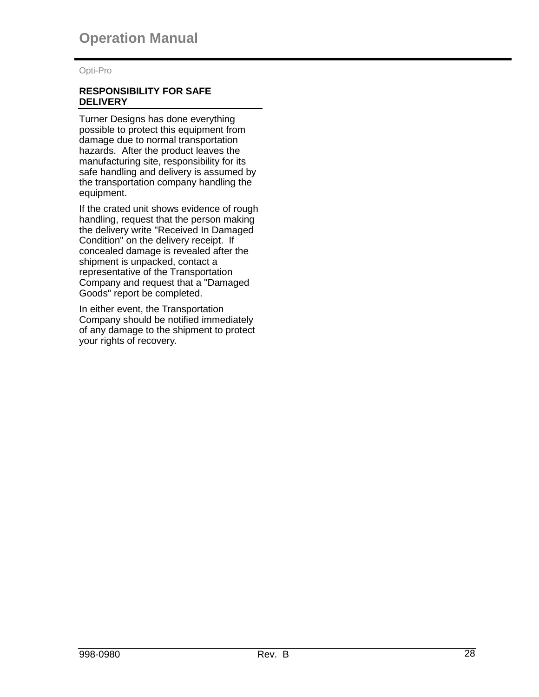#### **RESPONSIBILITY FOR SAFE DELIVERY**

Turner Designs has done everything possible to protect this equipment from damage due to normal transportation hazards. After the product leaves the manufacturing site, responsibility for its safe handling and delivery is assumed by the transportation company handling the equipment.

If the crated unit shows evidence of rough handling, request that the person making the delivery write "Received In Damaged Condition" on the delivery receipt. If concealed damage is revealed after the shipment is unpacked, contact a representative of the Transportation Company and request that a "Damaged Goods" report be completed.

In either event, the Transportation Company should be notified immediately of any damage to the shipment to protect your rights of recovery.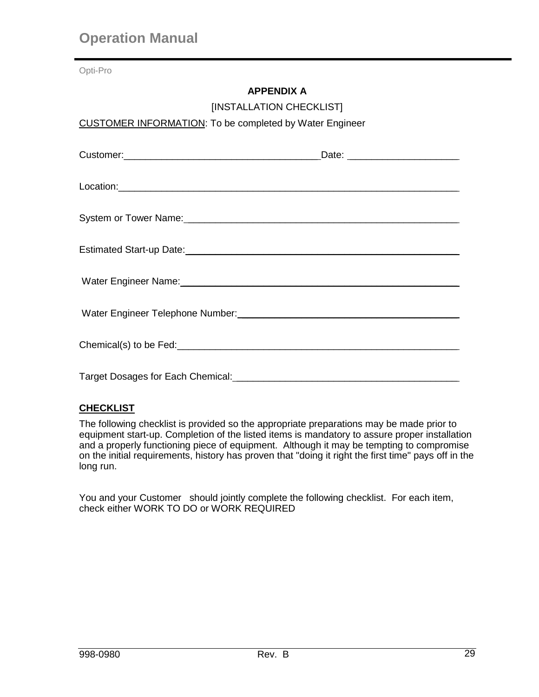# **APPENDIX A**

[INSTALLATION CHECKLIST]

# CUSTOMER INFORMATION: To be completed by Water Engineer

| Water Engineer Name:<br><u> Water Engineer Name:</u> |  |
|------------------------------------------------------|--|
|                                                      |  |
|                                                      |  |
|                                                      |  |

# **CHECKLIST**

The following checklist is provided so the appropriate preparations may be made prior to equipment start-up. Completion of the listed items is mandatory to assure proper installation and a properly functioning piece of equipment. Although it may be tempting to compromise on the initial requirements, history has proven that "doing it right the first time" pays off in the long run.

You and your Customer should jointly complete the following checklist. For each item, check either WORK TO DO or WORK REQUIRED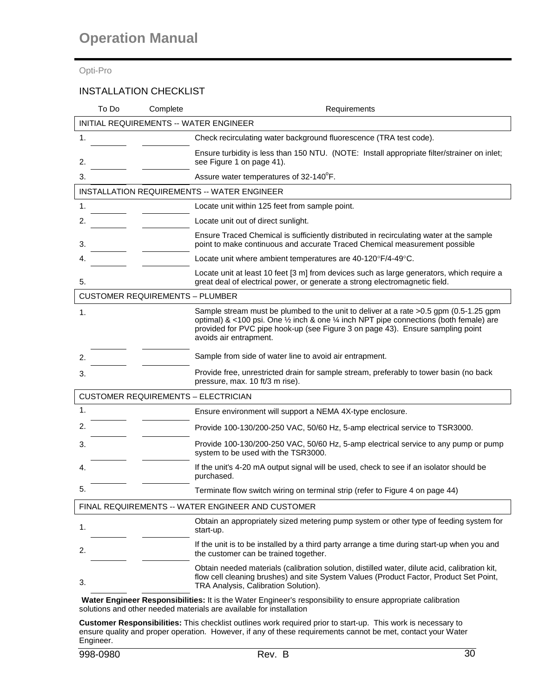# INSTALLATION CHECKLIST

| To Do                                             | Complete | Requirements                                                                                                                                                                                                                                                                                                        |  |  |  |  |
|---------------------------------------------------|----------|---------------------------------------------------------------------------------------------------------------------------------------------------------------------------------------------------------------------------------------------------------------------------------------------------------------------|--|--|--|--|
| INITIAL REQUIREMENTS -- WATER ENGINEER            |          |                                                                                                                                                                                                                                                                                                                     |  |  |  |  |
| 1.                                                |          | Check recirculating water background fluorescence (TRA test code).                                                                                                                                                                                                                                                  |  |  |  |  |
| 2.                                                |          | Ensure turbidity is less than 150 NTU. (NOTE: Install appropriate filter/strainer on inlet;<br>see Figure 1 on page 41).                                                                                                                                                                                            |  |  |  |  |
| 3.                                                |          | Assure water temperatures of 32-140°F.                                                                                                                                                                                                                                                                              |  |  |  |  |
|                                                   |          | <b>INSTALLATION REQUIREMENTS -- WATER ENGINEER</b>                                                                                                                                                                                                                                                                  |  |  |  |  |
| 1.                                                |          | Locate unit within 125 feet from sample point.                                                                                                                                                                                                                                                                      |  |  |  |  |
| 2.                                                |          | Locate unit out of direct sunlight.                                                                                                                                                                                                                                                                                 |  |  |  |  |
| 3.                                                |          | Ensure Traced Chemical is sufficiently distributed in recirculating water at the sample<br>point to make continuous and accurate Traced Chemical measurement possible                                                                                                                                               |  |  |  |  |
| 4.                                                |          | Locate unit where ambient temperatures are 40-120°F/4-49°C.                                                                                                                                                                                                                                                         |  |  |  |  |
| 5.                                                |          | Locate unit at least 10 feet [3 m] from devices such as large generators, which require a<br>great deal of electrical power, or generate a strong electromagnetic field.                                                                                                                                            |  |  |  |  |
| <b>CUSTOMER REQUIREMENTS - PLUMBER</b>            |          |                                                                                                                                                                                                                                                                                                                     |  |  |  |  |
| 1.                                                |          | Sample stream must be plumbed to the unit to deliver at a rate >0.5 gpm (0.5-1.25 gpm<br>optimal) & <100 psi. One $\frac{1}{2}$ inch & one $\frac{1}{4}$ inch NPT pipe connections (both female) are<br>provided for PVC pipe hook-up (see Figure 3 on page 43). Ensure sampling point<br>avoids air entrapment.    |  |  |  |  |
| 2.                                                |          | Sample from side of water line to avoid air entrapment.                                                                                                                                                                                                                                                             |  |  |  |  |
| 3.                                                |          | Provide free, unrestricted drain for sample stream, preferably to tower basin (no back<br>pressure, max. 10 ft/3 m rise).                                                                                                                                                                                           |  |  |  |  |
| <b>CUSTOMER REQUIREMENTS - ELECTRICIAN</b>        |          |                                                                                                                                                                                                                                                                                                                     |  |  |  |  |
| 1.                                                |          | Ensure environment will support a NEMA 4X-type enclosure.                                                                                                                                                                                                                                                           |  |  |  |  |
| 2.                                                |          | Provide 100-130/200-250 VAC, 50/60 Hz, 5-amp electrical service to TSR3000.                                                                                                                                                                                                                                         |  |  |  |  |
| 3.                                                |          | Provide 100-130/200-250 VAC, 50/60 Hz, 5-amp electrical service to any pump or pump<br>system to be used with the TSR3000.                                                                                                                                                                                          |  |  |  |  |
| 4.                                                |          | If the unit's 4-20 mA output signal will be used, check to see if an isolator should be<br>purchased.                                                                                                                                                                                                               |  |  |  |  |
| 5.                                                |          | Terminate flow switch wiring on terminal strip (refer to Figure 4 on page 44)                                                                                                                                                                                                                                       |  |  |  |  |
| FINAL REQUIREMENTS -- WATER ENGINEER AND CUSTOMER |          |                                                                                                                                                                                                                                                                                                                     |  |  |  |  |
| 1.                                                |          | Obtain an appropriately sized metering pump system or other type of feeding system for<br>start-up.                                                                                                                                                                                                                 |  |  |  |  |
| 2.                                                |          | If the unit is to be installed by a third party arrange a time during start-up when you and<br>the customer can be trained together.                                                                                                                                                                                |  |  |  |  |
| 3.                                                |          | Obtain needed materials (calibration solution, distilled water, dilute acid, calibration kit,<br>flow cell cleaning brushes) and site System Values (Product Factor, Product Set Point,<br>TRA Analysis, Calibration Solution).<br>$\mathbf{u}$ and $\mathbf{v}$ and $\mathbf{v}$ and $\mathbf{v}$ and $\mathbf{v}$ |  |  |  |  |

**Water Engineer Responsibilities:** It is the Water Engineer's responsibility to ensure appropriate calibration solutions and other needed materials are available for installation

**Customer Responsibilities:** This checklist outlines work required prior to start-up. This work is necessary to ensure quality and proper operation. However, if any of these requirements cannot be met, contact your Water Engineer.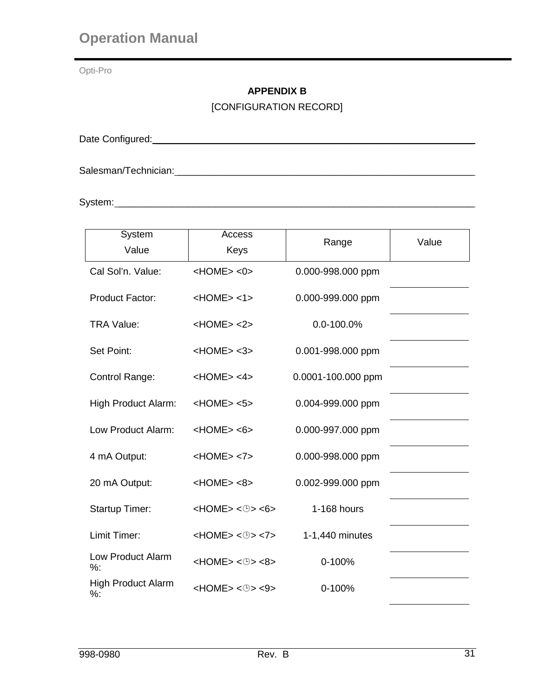Opti-Pro

# **APPENDIX B**

[CONFIGURATION RECORD]

Date Configured: \_\_\_\_\_\_\_\_\_\_\_\_\_\_\_\_\_\_\_\_\_\_\_\_\_\_\_\_\_\_\_\_\_\_\_\_\_\_\_\_\_\_\_\_\_\_\_\_\_\_\_\_\_\_\_\_\_\_\_

Salesman/Technician: \_\_\_\_\_\_\_\_\_\_\_\_\_\_\_\_\_\_\_\_\_\_\_\_\_\_\_\_\_\_\_\_\_\_\_\_\_\_\_\_\_\_\_\_\_\_\_\_\_\_\_\_\_\_\_

System: \_\_\_\_\_\_\_\_\_\_\_\_\_\_\_\_\_\_\_\_\_\_\_\_\_\_\_\_\_\_\_\_\_\_\_\_\_\_\_\_\_\_\_\_\_\_\_\_\_\_\_\_\_\_\_\_\_\_\_\_\_\_\_\_\_\_

| System                             | Access                                |                    |       |
|------------------------------------|---------------------------------------|--------------------|-------|
| Value                              | Keys                                  | Range              | Value |
| Cal Sol'n. Value:                  | $<$ HOME $>$ $<$ 0 $>$                | 0.000-998.000 ppm  |       |
| <b>Product Factor:</b>             | $<$ HOME $>$ <1 $>$                   | 0.000-999.000 ppm  |       |
| <b>TRA Value:</b>                  | $<$ HOME $>$ $<$ 2 $>$                | $0.0 - 100.0\%$    |       |
| Set Point:                         | $<$ HOME $>$ $<$ 3 $>$                | 0.001-998.000 ppm  |       |
| Control Range:                     | $<$ HOME $>$ <4 $>$                   | 0.0001-100.000 ppm |       |
| High Product Alarm:                | $<$ HOME $>$ $<$ 5 $>$                | 0.004-999.000 ppm  |       |
| Low Product Alarm:                 | $<$ HOME $>$ $<$ 6 $>$                | 0.000-997.000 ppm  |       |
| 4 mA Output:                       | $<$ HOME $>$ $<$ 7 $>$                | 0.000-998.000 ppm  |       |
| 20 mA Output:                      | $<$ HOME $>$ $<$ 8 $>$                | 0.002-999.000 ppm  |       |
| <b>Startup Timer:</b>              | $<$ HOME> $<$ $\oplus$ > $<$ 6>       | 1-168 hours        |       |
| Limit Timer:                       | $<$ HOME> $<$ $\oplus$ > $<$ 7>       | 1-1,440 minutes    |       |
| Low Product Alarm<br>%:            | $<$ HOME> $<$ $\oplus$ > $<$ $8$ >    | 0-100%             |       |
| <b>High Product Alarm</b><br>$%$ : | $<$ HOME> $<$ $\oplus$ > $<$ $\oplus$ | 0-100%             |       |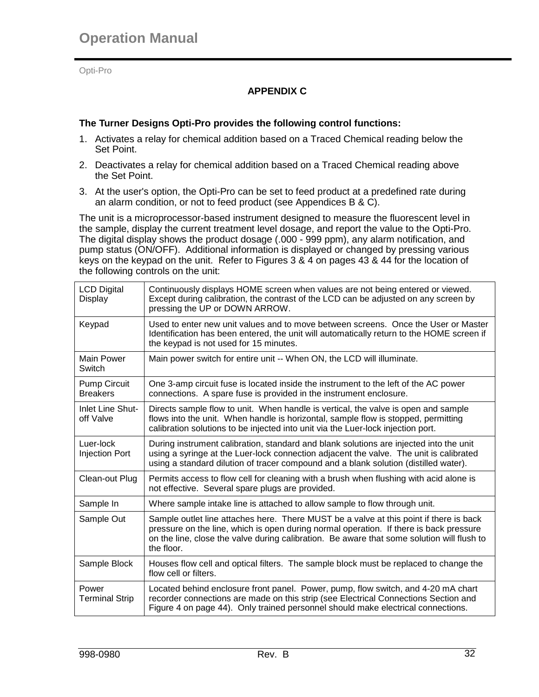# **APPENDIX C**

#### **The Turner Designs Opti-Pro provides the following control functions:**

- 1. Activates a relay for chemical addition based on a Traced Chemical reading below the Set Point.
- 2. Deactivates a relay for chemical addition based on a Traced Chemical reading above the Set Point.
- 3. At the user's option, the Opti-Pro can be set to feed product at a predefined rate during an alarm condition, or not to feed product (see Appendices B & C).

The unit is a microprocessor-based instrument designed to measure the fluorescent level in the sample, display the current treatment level dosage, and report the value to the Opti-Pro. The digital display shows the product dosage (.000 - 999 ppm), any alarm notification, and pump status (ON/OFF). Additional information is displayed or changed by pressing various keys on the keypad on the unit. Refer to Figures 3 & 4 on pages 43 & 44 for the location of the following controls on the unit:

| <b>LCD Digital</b><br>Display          | Continuously displays HOME screen when values are not being entered or viewed.<br>Except during calibration, the contrast of the LCD can be adjusted on any screen by<br>pressing the UP or DOWN ARROW.                                                                                      |
|----------------------------------------|----------------------------------------------------------------------------------------------------------------------------------------------------------------------------------------------------------------------------------------------------------------------------------------------|
| Keypad                                 | Used to enter new unit values and to move between screens. Once the User or Master<br>Identification has been entered, the unit will automatically return to the HOME screen if<br>the keypad is not used for 15 minutes.                                                                    |
| Main Power<br>Switch                   | Main power switch for entire unit -- When ON, the LCD will illuminate.                                                                                                                                                                                                                       |
| <b>Pump Circuit</b><br><b>Breakers</b> | One 3-amp circuit fuse is located inside the instrument to the left of the AC power<br>connections. A spare fuse is provided in the instrument enclosure.                                                                                                                                    |
| <b>Inlet Line Shut-</b><br>off Valve   | Directs sample flow to unit. When handle is vertical, the valve is open and sample<br>flows into the unit. When handle is horizontal, sample flow is stopped, permitting<br>calibration solutions to be injected into unit via the Luer-lock injection port.                                 |
| Luer-lock<br><b>Injection Port</b>     | During instrument calibration, standard and blank solutions are injected into the unit<br>using a syringe at the Luer-lock connection adjacent the valve. The unit is calibrated<br>using a standard dilution of tracer compound and a blank solution (distilled water).                     |
| Clean-out Plug                         | Permits access to flow cell for cleaning with a brush when flushing with acid alone is<br>not effective. Several spare plugs are provided.                                                                                                                                                   |
| Sample In                              | Where sample intake line is attached to allow sample to flow through unit.                                                                                                                                                                                                                   |
| Sample Out                             | Sample outlet line attaches here. There MUST be a valve at this point if there is back<br>pressure on the line, which is open during normal operation. If there is back pressure<br>on the line, close the valve during calibration. Be aware that some solution will flush to<br>the floor. |
| Sample Block                           | Houses flow cell and optical filters. The sample block must be replaced to change the<br>flow cell or filters.                                                                                                                                                                               |
| Power<br><b>Terminal Strip</b>         | Located behind enclosure front panel. Power, pump, flow switch, and 4-20 mA chart<br>recorder connections are made on this strip (see Electrical Connections Section and<br>Figure 4 on page 44). Only trained personnel should make electrical connections.                                 |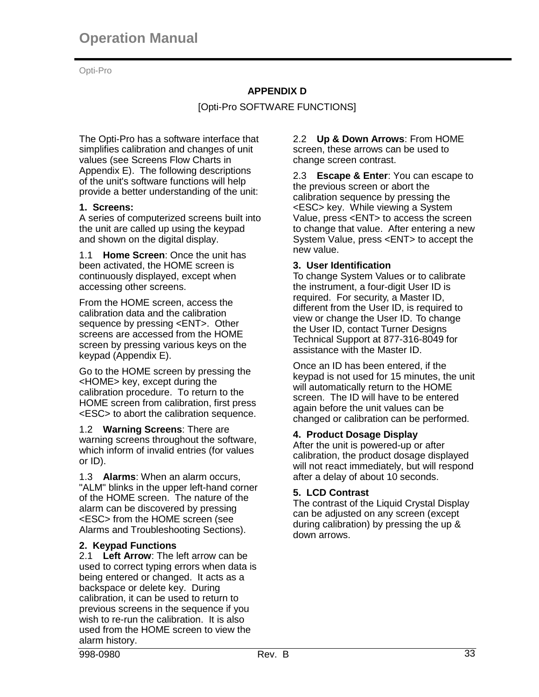# **APPENDIX D**

[Opti-Pro SOFTWARE FUNCTIONS]

The Opti-Pro has a software interface that simplifies calibration and changes of unit values (see Screens Flow Charts in Appendix E). The following descriptions of the unit's software functions will help provide a better understanding of the unit:

# **1. Screens:**

A series of computerized screens built into the unit are called up using the keypad and shown on the digital display.

1.1 **Home Screen**: Once the unit has been activated, the HOME screen is continuously displayed, except when accessing other screens.

From the HOME screen, access the calibration data and the calibration sequence by pressing <ENT>. Other screens are accessed from the HOME screen by pressing various keys on the keypad (Appendix E).

Go to the HOME screen by pressing the <HOME> key, except during the calibration procedure. To return to the HOME screen from calibration, first press <ESC> to abort the calibration sequence.

1.2 **Warning Screens**: There are warning screens throughout the software, which inform of invalid entries (for values or ID).

1.3 **Alarms**: When an alarm occurs, "ALM" blinks in the upper left-hand corner of the HOME screen. The nature of the alarm can be discovered by pressing <ESC> from the HOME screen (see Alarms and Troubleshooting Sections).

# **2. Keypad Functions**

2.1 **Left Arrow**: The left arrow can be used to correct typing errors when data is being entered or changed. It acts as a backspace or delete key. During calibration, it can be used to return to previous screens in the sequence if you wish to re-run the calibration. It is also used from the HOME screen to view the alarm history.

2.2 **Up & Down Arrows**: From HOME screen, these arrows can be used to change screen contrast.

2.3 **Escape & Enter**: You can escape to the previous screen or abort the calibration sequence by pressing the <ESC> key. While viewing a System Value, press <ENT> to access the screen to change that value. After entering a new System Value, press <ENT> to accept the new value.

#### **3. User Identification**

To change System Values or to calibrate the instrument, a four-digit User ID is required. For security, a Master ID, different from the User ID, is required to view or change the User ID. To change the User ID, contact Turner Designs Technical Support at 877-316-8049 for assistance with the Master ID.

Once an ID has been entered, if the keypad is not used for 15 minutes, the unit will automatically return to the HOME screen. The ID will have to be entered again before the unit values can be changed or calibration can be performed.

# **4. Product Dosage Display**

After the unit is powered-up or after calibration, the product dosage displayed will not react immediately, but will respond after a delay of about 10 seconds.

#### **5. LCD Contrast**

The contrast of the Liquid Crystal Display can be adjusted on any screen (except during calibration) by pressing the up & down arrows.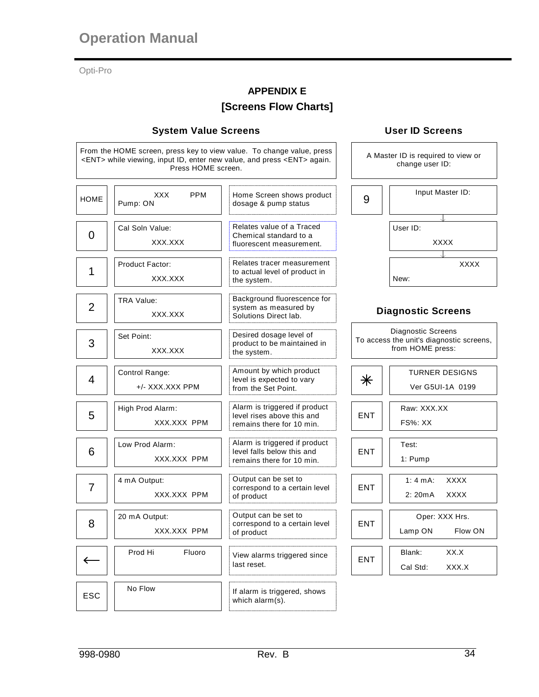# **APPENDIX E**

# **[Screens Flow Charts]**

#### **System Value Screens**

From the HOME screen, press key to view value. To change value, press <ENT> while viewing, input ID, enter new value, and press <ENT> again. Press HOME screen.

| <b>HOME</b>    | <b>PPM</b><br>XXX.<br>Pump: ON    | Home Screen shows product<br>dosage & pump status                                        | 9          | Input Master ID:                                                                   |
|----------------|-----------------------------------|------------------------------------------------------------------------------------------|------------|------------------------------------------------------------------------------------|
| 0              | Cal Soln Value:<br>XXX.XXX        | Relates value of a Traced<br>Chemical standard to a<br>fluorescent measurement.          |            | User ID:<br><b>XXXX</b>                                                            |
| 1              | Product Factor:<br>XXX.XXX        | Relates tracer measurement<br>to actual level of product in<br>the system.               |            | <b>XXXX</b><br>New:                                                                |
| $\overline{2}$ | <b>TRA Value:</b><br>XXX.XXX      | Background fluorescence for<br>system as measured by<br>Solutions Direct lab.            |            | <b>Diagnostic Screens</b>                                                          |
| 3              | Set Point:<br>XXX.XXX             | Desired dosage level of<br>product to be maintained in<br>the system.                    |            | Diagnostic Screens<br>To access the unit's diagnostic screens,<br>from HOME press: |
| 4              | Control Range:<br>+/- XXX.XXX PPM | Amount by which product<br>level is expected to vary<br>from the Set Point.              | $\ast$     | <b>TURNER DESIGNS</b><br>Ver G5UI-1A 0199                                          |
| 5              | High Prod Alarm:<br>XXX.XXX PPM   | Alarm is triggered if product<br>level rises above this and<br>remains there for 10 min. | <b>ENT</b> | Raw: XXX.XX<br><b>FS%: XX</b>                                                      |
| 6              | Low Prod Alarm:<br>XXX.XXX PPM    | Alarm is triggered if product<br>level falls below this and<br>remains there for 10 min. | <b>ENT</b> | Test:<br>1: Pump                                                                   |
| $\overline{7}$ | 4 mA Output:<br>XXX.XXX PPM       | Output can be set to<br>correspond to a certain level<br>of product                      | <b>ENT</b> | <b>XXXX</b><br>1: 4 mA:<br><b>XXXX</b><br>2: 20mA                                  |
| 8              | 20 mA Output:<br>XXX.XXX PPM      | Output can be set to<br>correspond to a certain level<br>of product                      | <b>ENT</b> | Oper: XXX Hrs.<br>Lamp ON<br>Flow ON                                               |
| ←              | Prod Hi<br>Fluoro                 | View alarms triggered since<br>last reset.                                               | ENT        | XX.X<br>Blank:<br>Cal Std:<br>XXX.X                                                |
| <b>ESC</b>     | No Flow                           | If alarm is triggered, shows<br>which alarm(s).                                          |            |                                                                                    |

# **User ID Screens**

A Master ID is required to view or change user ID:

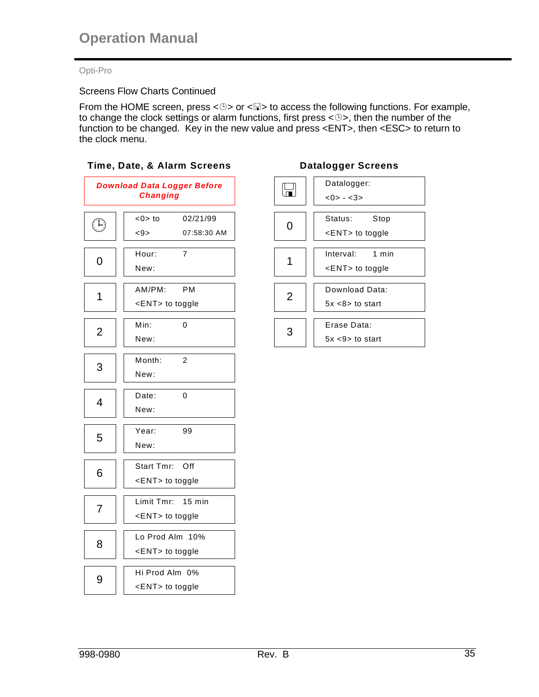# Screens Flow Charts Continued

From the HOME screen, press < $\circledcirc$ > or < $\Box$ > to access the following functions. For example, to change the clock settings or alarm functions, first press  $\langle \mathcal{O} \rangle$ , then the number of the function to be changed. Key in the new value and press <ENT>, then <ESC> to return to the clock menu.



|   | Datalogger:              |  |  |  |  |
|---|--------------------------|--|--|--|--|
|   | $<0> - <3>$              |  |  |  |  |
|   | Status:<br>Stop          |  |  |  |  |
|   | $\leq$ ENT $>$ to toggle |  |  |  |  |
|   | Interval: 1 min          |  |  |  |  |
|   | $\leq$ ENT $>$ to toggle |  |  |  |  |
|   |                          |  |  |  |  |
| 2 | Download Data:           |  |  |  |  |
|   | $5x < 8$ to start        |  |  |  |  |
|   | Erase Data:              |  |  |  |  |
|   | $5x < 9$ to start        |  |  |  |  |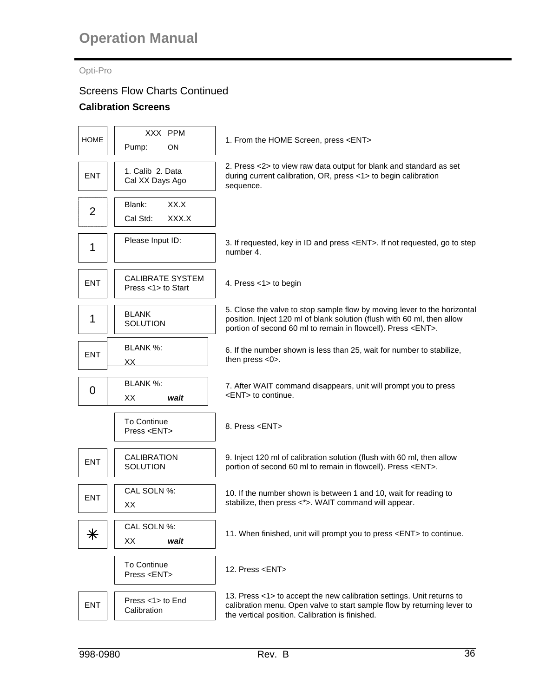#### Opti-Pro

# Screens Flow Charts Continued

#### **Calibration Screens**

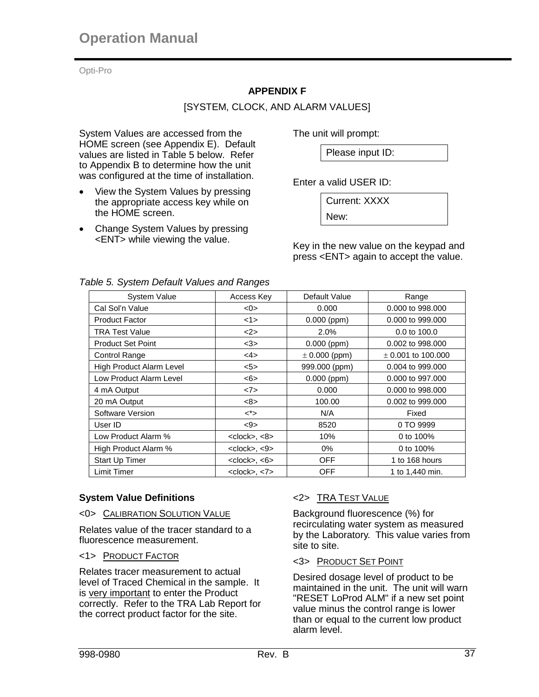# **APPENDIX F**

# [SYSTEM, CLOCK, AND ALARM VALUES]

System Values are accessed from the HOME screen (see Appendix E). Default values are listed in Table 5 below. Refer to Appendix B to determine how the unit was configured at the time of installation.

- View the System Values by pressing the appropriate access key while on the HOME screen.
- Change System Values by pressing <ENT> while viewing the value.

The unit will prompt:

Please input ID:

Enter a valid USER ID:

New:

Current: XXXX

Key in the new value on the keypad and press <ENT> again to accept the value.

| System Value             | Access Key                 | Default Value     | Range                  |
|--------------------------|----------------------------|-------------------|------------------------|
| Cal Sol'n Value          | $<$ 0 $>$                  | 0.000             | 0.000 to 998.000       |
| <b>Product Factor</b>    | <1>                        | $0.000$ (ppm)     | 0.000 to 999.000       |
| <b>TRA Test Value</b>    | <2>                        | 2.0%              | 0.0 to 100.0           |
| <b>Product Set Point</b> | <3>                        | $0.000$ (ppm)     | 0.002 to 998.000       |
| <b>Control Range</b>     | <4>                        | $\pm$ 0.000 (ppm) | $\pm$ 0.001 to 100.000 |
| High Product Alarm Level | 5                          | 999.000 (ppm)     | 0.004 to 999,000       |
| Low Product Alarm Level  | <6>                        | $0.000$ (ppm)     | 0.000 to 997.000       |
| 4 mA Output              | <7>                        | 0.000             | 0.000 to 998,000       |
| 20 mA Output             | <8>                        | 100.00            | 0.002 to 999.000       |
| Software Version         | $\lt^*$                    | N/A               | Fixed                  |
| User ID                  | $9$                        | 8520              | 0 TO 9999              |
| Low Product Alarm %      | <clock>, &lt;8&gt;</clock> | 10%               | 0 to 100%              |
| High Product Alarm %     | $<$ clock>, $<9$ >         | 0%                | 0 to 100%              |
| Start Up Timer           | $<$ clock>, $<$ 6>         | <b>OFF</b>        | 1 to 168 hours         |
| Limit Timer              | $<$ clock>, $<$ 7>         | <b>OFF</b>        | 1 to 1,440 min.        |

# *Table 5. System Default Values and Ranges*

# **System Value Definitions**

#### <0> CALIBRATION SOLUTION VALUE

Relates value of the tracer standard to a fluorescence measurement.

# <1> PRODUCT FACTOR

Relates tracer measurement to actual level of Traced Chemical in the sample. It is very important to enter the Product correctly. Refer to the TRA Lab Report for the correct product factor for the site.

# <2> TRA TEST VALUE

Background fluorescence (%) for recirculating water system as measured by the Laboratory. This value varies from site to site.

# <3> PRODUCT SET POINT

Desired dosage level of product to be maintained in the unit. The unit will warn "RESET LoProd ALM" if a new set point value minus the control range is lower than or equal to the current low product alarm level.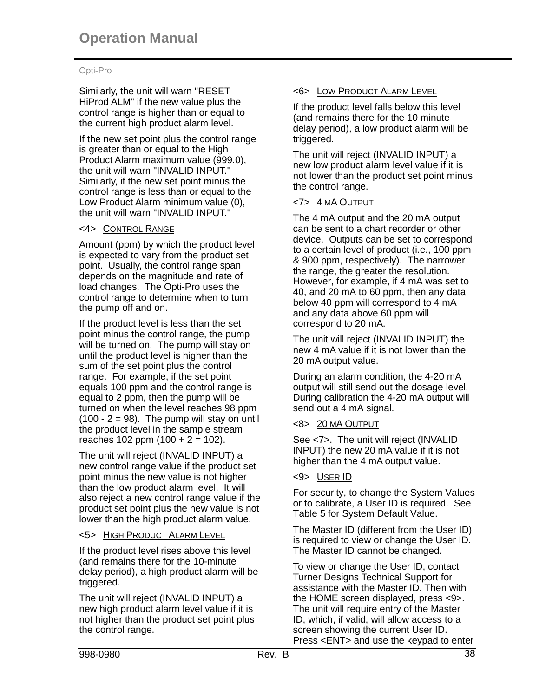Similarly, the unit will warn "RESET HiProd ALM" if the new value plus the control range is higher than or equal to the current high product alarm level.

If the new set point plus the control range is greater than or equal to the High Product Alarm maximum value (999.0), the unit will warn "INVALID INPUT." Similarly, if the new set point minus the control range is less than or equal to the Low Product Alarm minimum value (0), the unit will warn "INVALID INPUT."

# <4> CONTROL RANGE

Amount (ppm) by which the product level is expected to vary from the product set point. Usually, the control range span depends on the magnitude and rate of load changes. The Opti-Pro uses the control range to determine when to turn the pump off and on.

If the product level is less than the set point minus the control range, the pump will be turned on. The pump will stay on until the product level is higher than the sum of the set point plus the control range. For example, if the set point equals 100 ppm and the control range is equal to 2 ppm, then the pump will be turned on when the level reaches 98 ppm  $(100 - 2 = 98)$ . The pump will stay on until the product level in the sample stream reaches  $102$  ppm  $(100 + 2 = 102)$ .

The unit will reject (INVALID INPUT) a new control range value if the product set point minus the new value is not higher than the low product alarm level. It will also reject a new control range value if the product set point plus the new value is not lower than the high product alarm value.

# <5> HIGH PRODUCT ALARM LEVEL

If the product level rises above this level (and remains there for the 10-minute delay period), a high product alarm will be triggered.

The unit will reject (INVALID INPUT) a new high product alarm level value if it is not higher than the product set point plus the control range.

# <6> LOW PRODUCT ALARM LEVEL

If the product level falls below this level (and remains there for the 10 minute delay period), a low product alarm will be triggered.

The unit will reject (INVALID INPUT) a new low product alarm level value if it is not lower than the product set point minus the control range.

# <7> 4 MA OUTPUT

The 4 mA output and the 20 mA output can be sent to a chart recorder or other device. Outputs can be set to correspond to a certain level of product (i.e., 100 ppm & 900 ppm, respectively). The narrower the range, the greater the resolution. However, for example, if 4 mA was set to 40, and 20 mA to 60 ppm, then any data below 40 ppm will correspond to 4 mA and any data above 60 ppm will correspond to 20 mA.

The unit will reject (INVALID INPUT) the new 4 mA value if it is not lower than the 20 mA output value.

During an alarm condition, the 4-20 mA output will still send out the dosage level. During calibration the 4-20 mA output will send out a 4 mA signal.

# <8> 20 MA OUTPUT

See <7>. The unit will reject (INVALID INPUT) the new 20 mA value if it is not higher than the 4 mA output value.

# <9> USER ID

For security, to change the System Values or to calibrate, a User ID is required. See Table 5 for System Default Value.

The Master ID (different from the User ID) is required to view or change the User ID. The Master ID cannot be changed.

To view or change the User ID, contact Turner Designs Technical Support for assistance with the Master ID. Then with the HOME screen displayed, press <9>. The unit will require entry of the Master ID, which, if valid, will allow access to a screen showing the current User ID. Press <ENT> and use the keypad to enter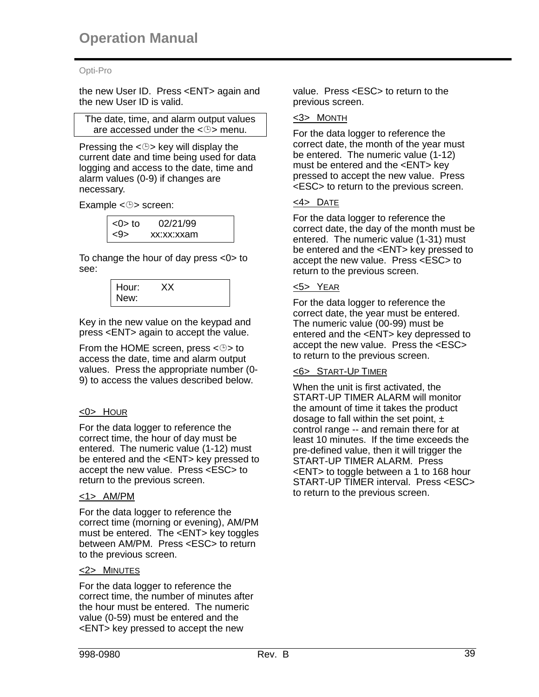the new User ID. Press <ENT> again and the new User ID is valid.

The date, time, and alarm output values are accessed under the  $\langle \oplus \rangle$  menu.

Pressing the  $\leq$   $\Rightarrow$  key will display the current date and time being used for data logging and access to the date, time and alarm values (0-9) if changes are necessary.

Example  $< \oplus$  screen:

| $<$ 0 $>$ to | 02/21/99   |
|--------------|------------|
|              | xx:xx:xxam |

To change the hour of day press <0> to see:

> Hour: XX New:

Key in the new value on the keypad and press <ENT> again to accept the value.

From the HOME screen, press  $< \oplus$  to access the date, time and alarm output values. Press the appropriate number (0- 9) to access the values described below.

# <0> HOUR

For the data logger to reference the correct time, the hour of day must be entered. The numeric value (1-12) must be entered and the <ENT> key pressed to accept the new value. Press <ESC> to return to the previous screen.

#### <1> AM/PM

For the data logger to reference the correct time (morning or evening), AM/PM must be entered. The <ENT> key toggles between AM/PM. Press <ESC> to return to the previous screen.

#### <2> MINUTES

For the data logger to reference the correct time, the number of minutes after the hour must be entered. The numeric value (0-59) must be entered and the <ENT> key pressed to accept the new

value. Press <ESC> to return to the previous screen.

#### <3> MONTH

For the data logger to reference the correct date, the month of the year must be entered. The numeric value (1-12) must be entered and the <ENT> key pressed to accept the new value. Press <ESC> to return to the previous screen.

#### <4> DATE

For the data logger to reference the correct date, the day of the month must be entered. The numeric value (1-31) must be entered and the <ENT> key pressed to accept the new value. Press <ESC> to return to the previous screen.

# <5> YEAR

For the data logger to reference the correct date, the year must be entered. The numeric value (00-99) must be entered and the <ENT> key depressed to accept the new value. Press the <ESC> to return to the previous screen.

#### <6> START-UP TIMER

When the unit is first activated, the START-UP TIMER ALARM will monitor the amount of time it takes the product dosage to fall within the set point,  $\pm$ control range -- and remain there for at least 10 minutes. If the time exceeds the pre-defined value, then it will trigger the START-UP TIMER ALARM. Press <ENT> to toggle between a 1 to 168 hour START-UP TIMER interval. Press <ESC> to return to the previous screen.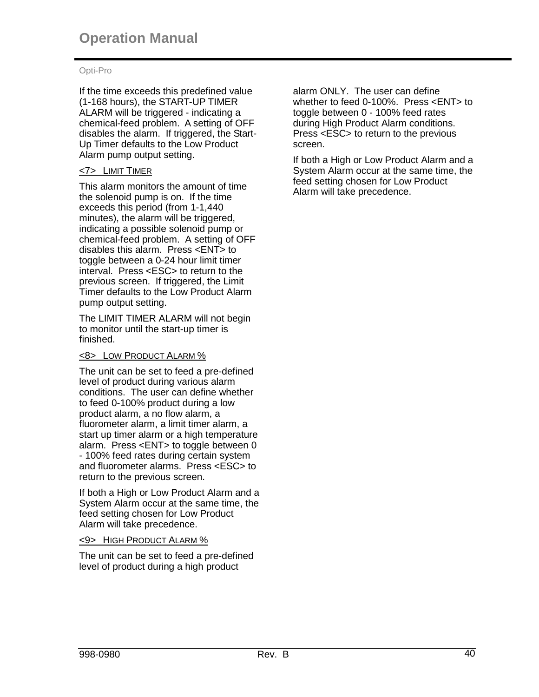If the time exceeds this predefined value (1-168 hours), the START-UP TIMER ALARM will be triggered - indicating a chemical-feed problem. A setting of OFF disables the alarm. If triggered, the Start-Up Timer defaults to the Low Product Alarm pump output setting.

# <7> LIMIT TIMER

This alarm monitors the amount of time the solenoid pump is on. If the time exceeds this period (from 1-1,440 minutes), the alarm will be triggered, indicating a possible solenoid pump or chemical-feed problem. A setting of OFF disables this alarm. Press <ENT> to toggle between a 0-24 hour limit timer interval. Press <ESC> to return to the previous screen. If triggered, the Limit Timer defaults to the Low Product Alarm pump output setting.

The LIMIT TIMER ALARM will not begin to monitor until the start-up timer is finished.

# <8> LOW PRODUCT ALARM %

The unit can be set to feed a pre-defined level of product during various alarm conditions. The user can define whether to feed 0-100% product during a low product alarm, a no flow alarm, a fluorometer alarm, a limit timer alarm, a start up timer alarm or a high temperature alarm. Press <ENT> to toggle between 0 - 100% feed rates during certain system and fluorometer alarms. Press <ESC> to return to the previous screen.

If both a High or Low Product Alarm and a System Alarm occur at the same time, the feed setting chosen for Low Product Alarm will take precedence.

# <9> HIGH PRODUCT ALARM %

The unit can be set to feed a pre-defined level of product during a high product

alarm ONLY. The user can define whether to feed 0-100%. Press <ENT> to toggle between 0 - 100% feed rates during High Product Alarm conditions. Press <ESC> to return to the previous screen.

If both a High or Low Product Alarm and a System Alarm occur at the same time, the feed setting chosen for Low Product Alarm will take precedence.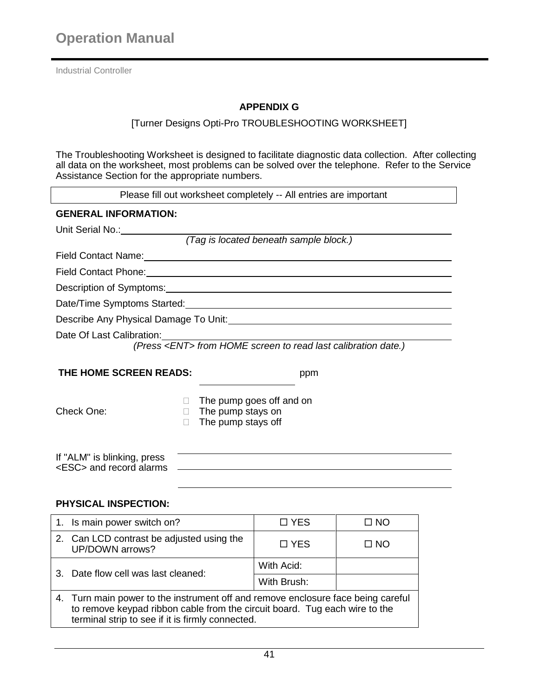Industrial Controller

# **APPENDIX G**

#### [Turner Designs Opti-Pro TROUBLESHOOTING WORKSHEET]

The Troubleshooting Worksheet is designed to facilitate diagnostic data collection. After collecting all data on the worksheet, most problems can be solved over the telephone. Refer to the Service Assistance Section for the appropriate numbers.

| Please fill out worksheet completely -- All entries are important                                                                                                                                                              |                                        |              |  |  |  |
|--------------------------------------------------------------------------------------------------------------------------------------------------------------------------------------------------------------------------------|----------------------------------------|--------------|--|--|--|
| <b>GENERAL INFORMATION:</b>                                                                                                                                                                                                    |                                        |              |  |  |  |
| Unit Serial No.: Village Contains                                                                                                                                                                                              |                                        |              |  |  |  |
|                                                                                                                                                                                                                                | (Tag is located beneath sample block.) |              |  |  |  |
| Field Contact Name: Manual According to the Contract of the Contract of the Contract of the Contract of the Contract of the Contract of the Contract of the Contract of the Contract of the Contract of the Contract of the Co |                                        |              |  |  |  |
| Field Contact Phone: <u>Contact Services</u> Contact Phone:                                                                                                                                                                    |                                        |              |  |  |  |
|                                                                                                                                                                                                                                |                                        |              |  |  |  |
| Date/Time Symptoms Started: University of the Symptoms Started:                                                                                                                                                                |                                        |              |  |  |  |
| Describe Any Physical Damage To Unit: Description of the Contract of the Contract of the Contract of the Contract of the Contract of the Contract of the Contract of the Contract of the Contract of the Contract of the Contr |                                        |              |  |  |  |
| Date Of Last Calibration: Date Of Last Calibration:                                                                                                                                                                            |                                        |              |  |  |  |
| (Press <ent> from HOME screen to read last calibration date.)</ent>                                                                                                                                                            |                                        |              |  |  |  |
| THE HOME SCREEN READS:                                                                                                                                                                                                         |                                        |              |  |  |  |
| ppm                                                                                                                                                                                                                            |                                        |              |  |  |  |
|                                                                                                                                                                                                                                | The pump goes off and on               |              |  |  |  |
| Check One:<br>$\Box$ The pump stays on                                                                                                                                                                                         |                                        |              |  |  |  |
| The pump stays off<br>П.                                                                                                                                                                                                       |                                        |              |  |  |  |
|                                                                                                                                                                                                                                |                                        |              |  |  |  |
| If "ALM" is blinking, press                                                                                                                                                                                                    |                                        |              |  |  |  |
| <esc> and record alarms</esc>                                                                                                                                                                                                  |                                        |              |  |  |  |
|                                                                                                                                                                                                                                |                                        |              |  |  |  |
| <b>PHYSICAL INSPECTION:</b>                                                                                                                                                                                                    |                                        |              |  |  |  |
| 1. Is main power switch on?                                                                                                                                                                                                    | $\Box$ YES                             | $\square$ NO |  |  |  |
| 2. Can LCD contrast be adjusted using the<br>UP/DOWN arrows?                                                                                                                                                                   | □ YES                                  | $\square$ NO |  |  |  |

4. Turn main power to the instrument off and remove enclosure face being careful to remove keypad ribbon cable from the circuit board. Tug each wire to the terminal strip to see if it is firmly connected.

3. Date flow cell was last cleaned:

With Acid:

With Brush: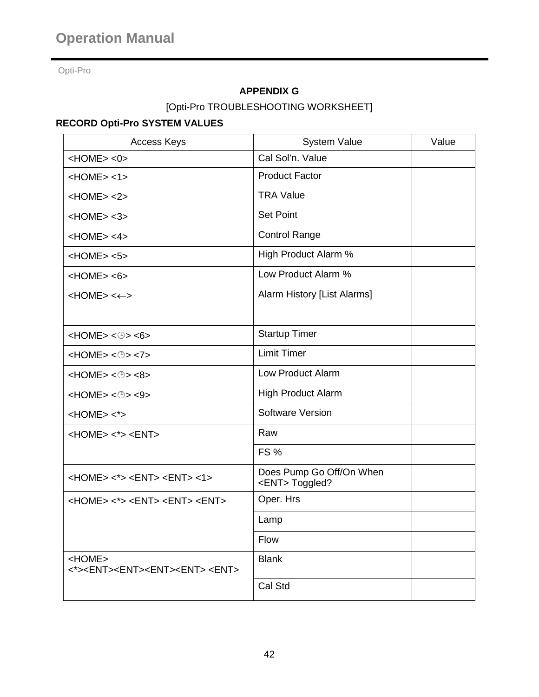# **APPENDIX G**

[Opti-Pro TROUBLESHOOTING WORKSHEET]

# **RECORD Opti-Pro SYSTEM VALUES**

| <b>Access Keys</b>                                                                            | <b>System Value</b>                             | Value |
|-----------------------------------------------------------------------------------------------|-------------------------------------------------|-------|
| $<$ HOME $>$ $<$ 0 $>$                                                                        | Cal Sol'n. Value                                |       |
| $<$ HOME $>$ <1 $>$                                                                           | <b>Product Factor</b>                           |       |
| HOME > <2>                                                                                    | <b>TRA Value</b>                                |       |
| $<$ HOME $>$ $<$ 3 $>$                                                                        | <b>Set Point</b>                                |       |
| $<$ HOME $>$ <4 $>$                                                                           | <b>Control Range</b>                            |       |
| $<$ HOME $>$ $<$ 5 $>$                                                                        | High Product Alarm %                            |       |
| $<$ HOME $>$ $<$ 6 $>$                                                                        | Low Product Alarm %                             |       |
| $HOME> < \leftrightarrow$                                                                     | Alarm History [List Alarms]                     |       |
|                                                                                               |                                                 |       |
| $<$ HOME> $<$ $\oplus$ > $<$ 6>                                                               | <b>Startup Timer</b>                            |       |
| $<$ HOME> $<$ $\oplus$ > $<$ 7>                                                               | <b>Limit Timer</b>                              |       |
| $<$ HOME> $<$ $\oplus$ > $<$ $8$ >                                                            | Low Product Alarm                               |       |
| $<$ HOME> $<$ $\oplus$ > $<$ $\oplus$                                                         | <b>High Product Alarm</b>                       |       |
| $<$ HOME $>$ $<$ * $>$                                                                        | <b>Software Version</b>                         |       |
| $<$ HOME> $<$ *> $<$ ENT>                                                                     | Raw                                             |       |
|                                                                                               | <b>FS %</b>                                     |       |
| $<$ HOME $>$ $<$ * $>$ $<$ ENT $>$ $<$ ENT $>$ $<$ 1 $>$                                      | Does Pump Go Off/On When<br><ent>Toggled?</ent> |       |
| <home> &lt;*&gt; <ent> <ent> <ent></ent></ent></ent></home>                                   | Oper. Hrs                                       |       |
|                                                                                               | Lamp                                            |       |
|                                                                                               | Flow                                            |       |
| <home><br/>&lt;*&gt;<ent><ent><ent><ent><ent><ent></ent></ent></ent></ent></ent></ent></home> | <b>Blank</b>                                    |       |
|                                                                                               | Cal Std                                         |       |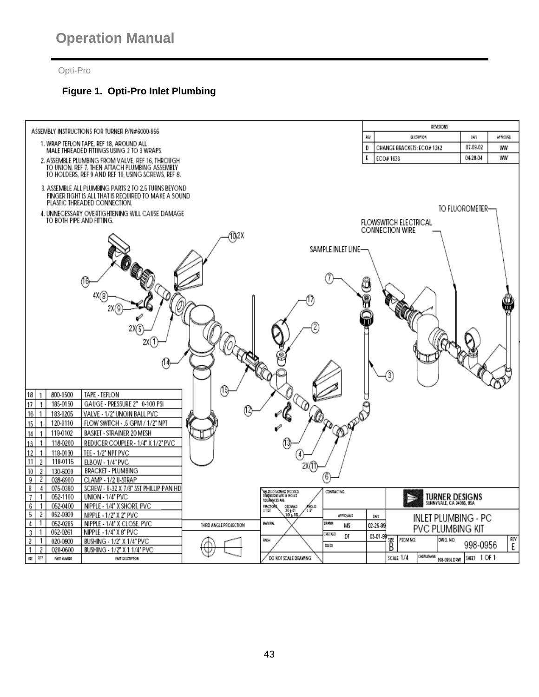# **Figure 1. Opti-Pro Inlet Plumbing**

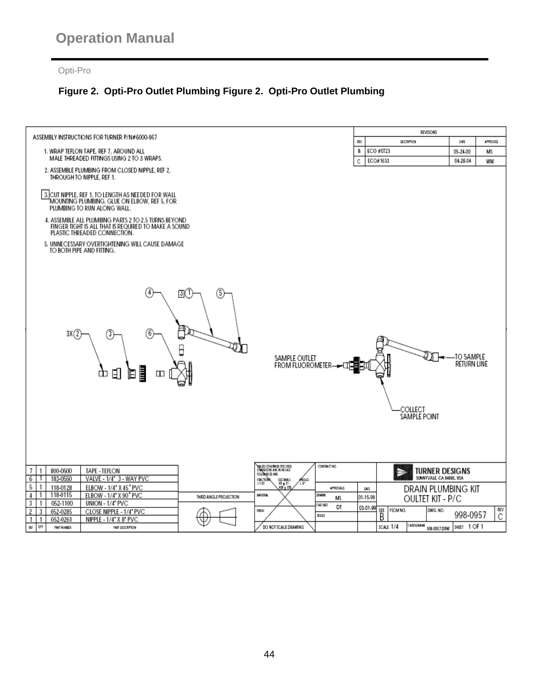# **Figure 2. Opti-Pro Outlet Plumbing Figure 2. Opti-Pro Outlet Plumbing**

| ASSEMBLY INSTRUCTIONS FOR TURNER P/N#6000-957                                                              |                            |                                                        |                  |             |                         | REVISIONS                 |                            |          |
|------------------------------------------------------------------------------------------------------------|----------------------------|--------------------------------------------------------|------------------|-------------|-------------------------|---------------------------|----------------------------|----------|
|                                                                                                            |                            |                                                        |                  | DEV.        | DISCRIPTION             |                           | <b>DATE</b>                | APPROVED |
| 1. WRAP TEFLON TAPE, REF 7, AROUND ALL<br>MALE THREADED FITTINGS USING 2 TO 3 WRAPS.                       |                            |                                                        |                  | В           | ECO #0723<br>ECO#1633   |                           | 05-24-00<br>МS<br>04-28-04 |          |
| 2. ASSEMBLE PLUMBING FROM CLOSED NIPPLE, REF 2,                                                            |                            |                                                        |                  | C           |                         |                           |                            | ww       |
| THROUGH TO NIPPLE, REF 1.                                                                                  |                            |                                                        |                  |             |                         |                           |                            |          |
|                                                                                                            |                            |                                                        |                  |             |                         |                           |                            |          |
| 3. CUT NIPPLE, REF 1, TO LENGTH AS NEEDED FOR WALL<br>MOUNTING PLUMBING. GLUE ON ELBOW, REF 5, FOR         |                            |                                                        |                  |             |                         |                           |                            |          |
| PLUMBING TO RUN ALONG WALL.                                                                                |                            |                                                        |                  |             |                         |                           |                            |          |
| 4. ASSEMBLE ALL PLUMBING PARTS 2 TO 2.5 TURNS BEYOND                                                       |                            |                                                        |                  |             |                         |                           |                            |          |
| FINGER TIGHT IS ALL THAT IS REQUIRED TO MAKE A SOUND                                                       |                            |                                                        |                  |             |                         |                           |                            |          |
| PLASTIC THREADED CONNECTION.                                                                               |                            |                                                        |                  |             |                         |                           |                            |          |
| 5. UNNECESSARY OVERTIGHTENING WILL CAUSE DAMAGE<br>TO BOTH PIPE AND FITTING.                               |                            |                                                        |                  |             |                         |                           |                            |          |
|                                                                                                            |                            |                                                        |                  |             |                         |                           |                            |          |
|                                                                                                            |                            |                                                        |                  |             |                         |                           |                            |          |
|                                                                                                            |                            |                                                        |                  |             |                         |                           |                            |          |
|                                                                                                            |                            |                                                        |                  |             |                         |                           |                            |          |
| (5)<br>30(1                                                                                                |                            |                                                        |                  |             |                         |                           |                            |          |
|                                                                                                            |                            |                                                        |                  |             |                         |                           |                            |          |
|                                                                                                            |                            |                                                        |                  |             |                         |                           |                            |          |
|                                                                                                            |                            |                                                        |                  |             |                         |                           |                            |          |
| 3X (2<br>6<br>3                                                                                            |                            |                                                        |                  |             |                         |                           |                            |          |
|                                                                                                            |                            |                                                        |                  |             |                         |                           |                            |          |
|                                                                                                            |                            |                                                        |                  |             |                         |                           | -TO SAMPLE                 |          |
|                                                                                                            |                            | SAMPLE OUTLET<br>FROM FLUOROMETER— <del>— [1]</del>    |                  |             |                         |                           | <b>RETURN LINE</b>         |          |
| j<br>⊡<br>Ф<br>E<br>ш                                                                                      |                            |                                                        |                  |             |                         |                           |                            |          |
|                                                                                                            |                            |                                                        |                  |             |                         |                           |                            |          |
|                                                                                                            |                            |                                                        |                  |             |                         |                           |                            |          |
|                                                                                                            |                            |                                                        |                  |             |                         |                           |                            |          |
|                                                                                                            |                            |                                                        |                  |             | COLLECT                 |                           |                            |          |
|                                                                                                            |                            |                                                        |                  |             | SAMPLE POINT            |                           |                            |          |
|                                                                                                            |                            |                                                        |                  |             |                         |                           |                            |          |
|                                                                                                            |                            |                                                        |                  |             |                         |                           |                            |          |
|                                                                                                            |                            |                                                        |                  |             |                         |                           |                            |          |
|                                                                                                            |                            |                                                        |                  |             |                         |                           |                            |          |
| 800-0500<br>7<br>TAPE - TEFLON<br>-1                                                                       |                            | NALESS CONSTANTS SPECIFIED<br>Dimensions are in Inches | CONTRACT NO.     |             |                         | <b>TURNER DESIGNS</b>     |                            |          |
| 183-0550<br>VALVE - 1/4" 3 - WAY PVC<br>6<br>-1                                                            | TOUR MANCES ARE:<br>гмстой | ARCUSS                                                 |                  |             | ∍                       | SUNNYVALE, CA 94085, USA  |                            |          |
| 5<br>1<br>ELBOW - 1/4" X 45" PVC<br>118-0128                                                               | :1/32                      | DECIMALS<br>300 ± 201<br>300 = 201<br>11               | <b>APPROVALS</b> | <b>DATE</b> |                         | DRAIN PLUMBING KIT        |                            |          |
| 118-0115<br>ELBOW - 1/4" X 90" PVC<br>4<br>1<br>THIRD ANGLE PROJECTION                                     | <b>MATCRIAL</b>            |                                                        | DRAMA<br>МS      | 01-15-99    |                         | <b>OULTET KIT - P/C</b>   |                            |          |
| 3<br>052-1100<br>UNION - 1/4" PVC<br>-1                                                                    | 用限                         |                                                        | HICKID<br>DT     | 03-01-99    | FSCM NO.                | DWG. NO.                  |                            | REV      |
| 2<br>052-0285<br>CLOSE NIPPLE - 1/4" PVC<br>3<br>NIPPLE - 1/4" X 8" PVC<br>1<br>$\overline{1}$<br>052-0261 |                            |                                                        | 65160            |             | ses<br>B                |                           | 998-0957                   | С        |
| <b>atr</b><br>NF.<br>PART MUMBER<br>FAST DESCRIPTION                                                       |                            | DO NOT SCALE DRAWING                                   |                  |             | CADRISMAME<br>SCALE 1/4 | 998-0957.DRW SHEET 1 OF 1 |                            |          |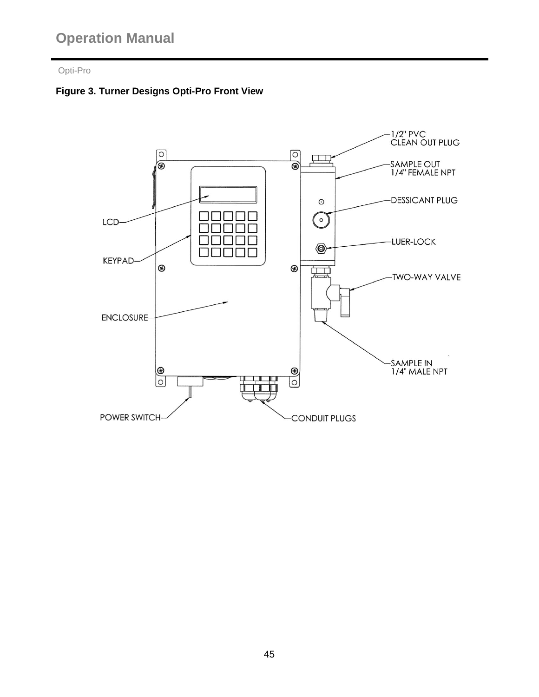# Opti-Pro

# **Figure 3. Turner Designs Opti-Pro Front View**

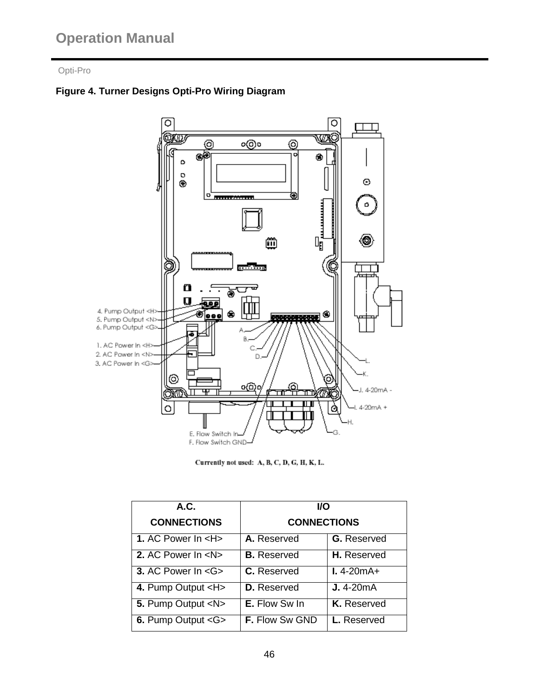# **Figure 4. Turner Designs Opti-Pro Wiring Diagram**



Currently not used: A, B, C, D, G, H, K, L.

| A.C.                                    | <b>I/O</b>            |                        |  |  |  |
|-----------------------------------------|-----------------------|------------------------|--|--|--|
| <b>CONNECTIONS</b>                      | <b>CONNECTIONS</b>    |                        |  |  |  |
| 1. AC Power $\ln$ <h<math>&gt;</h<math> | A. Reserved           | <b>G.</b> Reserved     |  |  |  |
| 2. AC Power In <n></n>                  | <b>B.</b> Reserved    | H. Reserved            |  |  |  |
| 3. AC Power In <g></g>                  | C. Reserved           | $1.4 - 20 \text{mA} +$ |  |  |  |
| 4. Pump Output <h></h>                  | <b>D.</b> Reserved    | $J.4 - 20mA$           |  |  |  |
| 5. Pump Output <n></n>                  | <b>E.</b> Flow Sw In  | K. Reserved            |  |  |  |
| 6. Pump Output < G>                     | <b>F.</b> Flow Sw GND | L. Reserved            |  |  |  |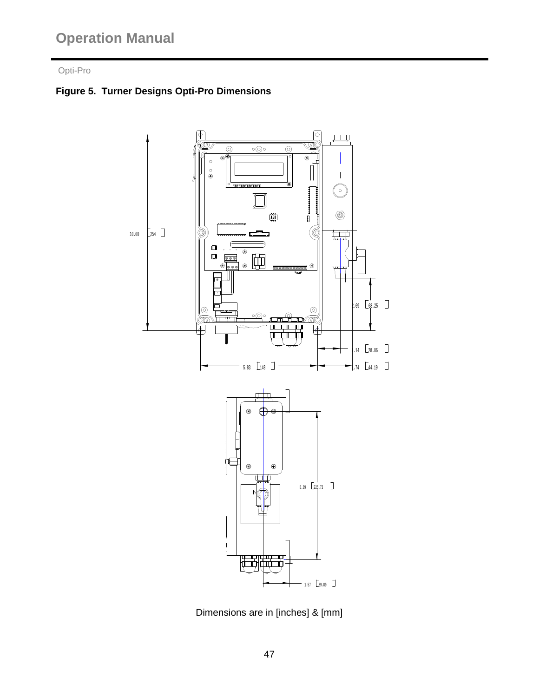# Opti-Pro

# **Figure 5. Turner Designs Opti-Pro Dimensions**



Dimensions are in [inches] & [mm]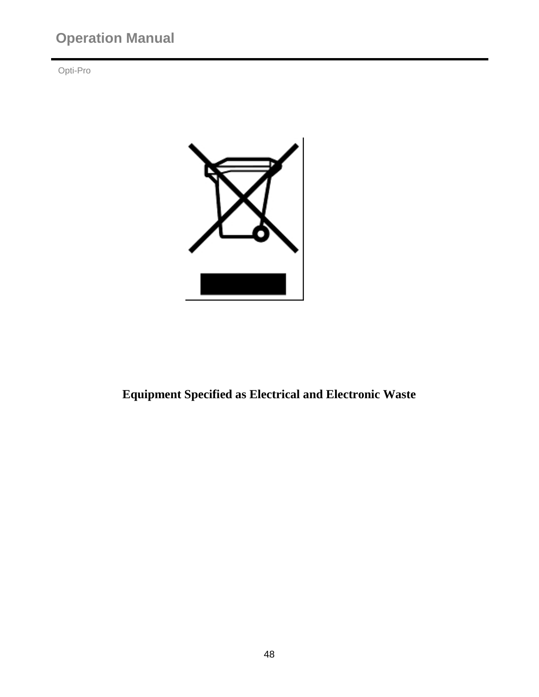Opti-Pro



**Equipment Specified as Electrical and Electronic Waste**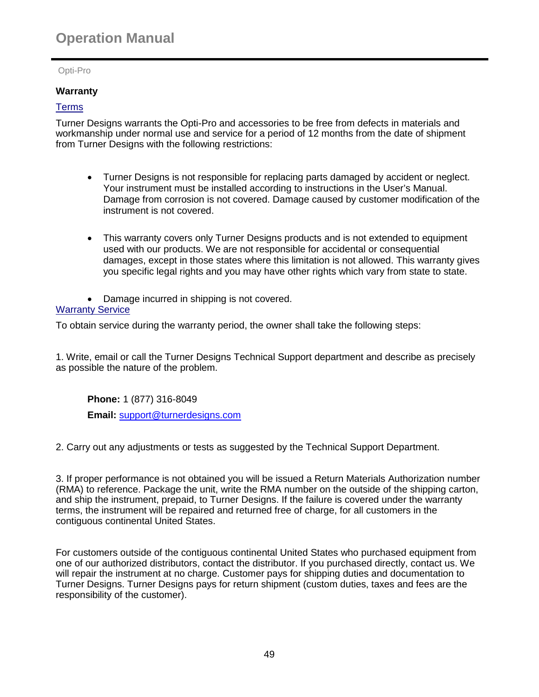Opti-Pro

# **Warranty**

# Terms

Turner Designs warrants the Opti-Pro and accessories to be free from defects in materials and workmanship under normal use and service for a period of 12 months from the date of shipment from Turner Designs with the following restrictions:

- Turner Designs is not responsible for replacing parts damaged by accident or neglect. Your instrument must be installed according to instructions in the User's Manual. Damage from corrosion is not covered. Damage caused by customer modification of the instrument is not covered.
- This warranty covers only Turner Designs products and is not extended to equipment used with our products. We are not responsible for accidental or consequential damages, except in those states where this limitation is not allowed. This warranty gives you specific legal rights and you may have other rights which vary from state to state.
- Damage incurred in shipping is not covered.

#### **Warranty Service**

To obtain service during the warranty period, the owner shall take the following steps:

1. Write, email or call the Turner Designs Technical Support department and describe as precisely as possible the nature of the problem.

**Phone:** 1 (877) 316-8049 **Email:** [support@turnerdesigns.com](mailto:support@turnerdesigns.com)

2. Carry out any adjustments or tests as suggested by the Technical Support Department.

3. If proper performance is not obtained you will be issued a Return Materials Authorization number (RMA) to reference. Package the unit, write the RMA number on the outside of the shipping carton, and ship the instrument, prepaid, to Turner Designs. If the failure is covered under the warranty terms, the instrument will be repaired and returned free of charge, for all customers in the contiguous continental United States.

For customers outside of the contiguous continental United States who purchased equipment from one of our authorized distributors, contact the distributor. If you purchased directly, contact us. We will repair the instrument at no charge. Customer pays for shipping duties and documentation to Turner Designs. Turner Designs pays for return shipment (custom duties, taxes and fees are the responsibility of the customer).